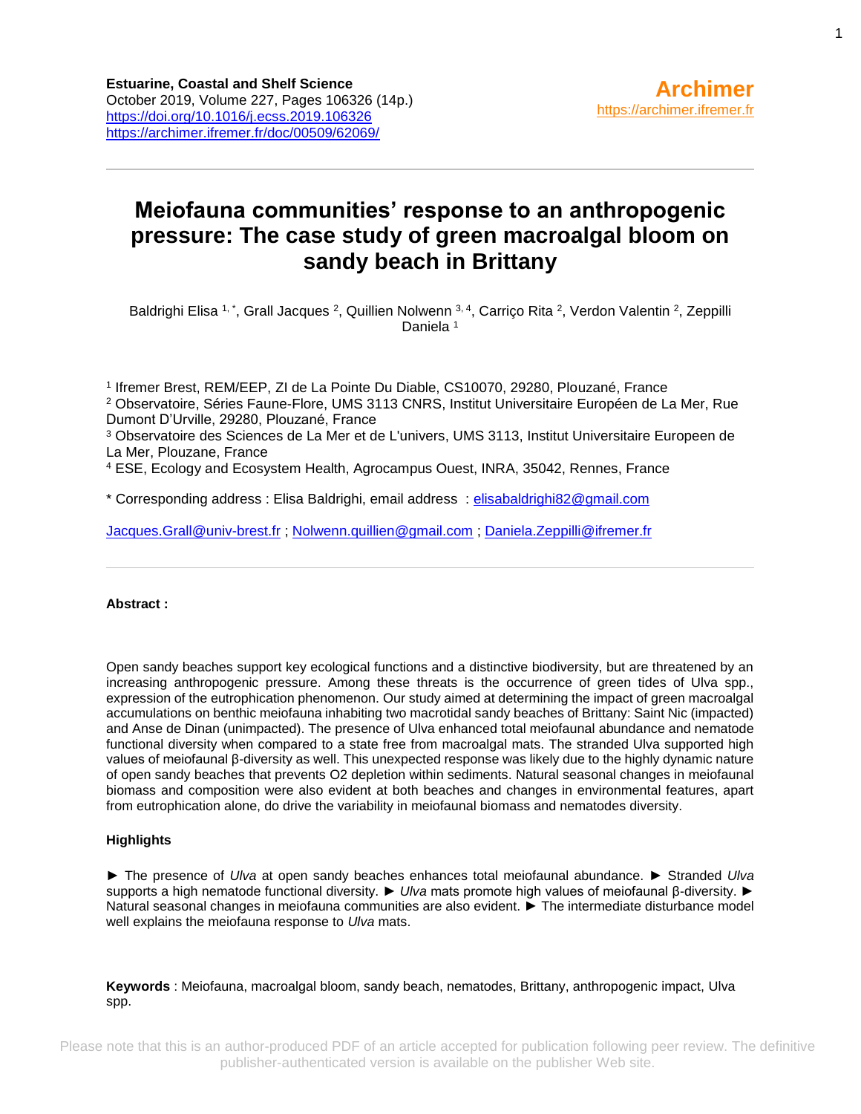# **Meiofauna communities' response to an anthropogenic pressure: The case study of green macroalgal bloom on sandy beach in Brittany**

Baldrighi Elisa 1, \*, Grall Jacques <sup>2</sup>, Quillien Nolwenn 3, 4, Carriço Rita <sup>2</sup>, Verdon Valentin <sup>2</sup>, Zeppilli Daniela<sup>1</sup>

1 Ifremer Brest, REM/EEP, ZI de La Pointe Du Diable, CS10070, 29280, Plouzané, France <sup>2</sup> Observatoire, Séries Faune-Flore, UMS 3113 CNRS, Institut Universitaire Européen de La Mer, Rue Dumont D'Urville, 29280, Plouzané, France

<sup>3</sup> Observatoire des Sciences de La Mer et de L'univers, UMS 3113, Institut Universitaire Europeen de La Mer, Plouzane, France

<sup>4</sup> ESE, Ecology and Ecosystem Health, Agrocampus Ouest, INRA, 35042, Rennes, France

\* Corresponding address : Elisa Baldrighi, email address : [elisabaldrighi82@gmail.com](mailto:elisabaldrighi82@gmail.com)

[Jacques.Grall@univ-brest.fr](mailto:Jacques.Grall@univ-brest.fr) ; [Nolwenn.quillien@gmail.com](mailto:Nolwenn.quillien@gmail.com) ; [Daniela.Zeppilli@ifremer.fr](mailto:Daniela.Zeppilli@ifremer.fr)

### **Abstract :**

Open sandy beaches support key ecological functions and a distinctive biodiversity, but are threatened by an increasing anthropogenic pressure. Among these threats is the occurrence of green tides of Ulva spp., expression of the eutrophication phenomenon. Our study aimed at determining the impact of green macroalgal accumulations on benthic meiofauna inhabiting two macrotidal sandy beaches of Brittany: Saint Nic (impacted) and Anse de Dinan (unimpacted). The presence of Ulva enhanced total meiofaunal abundance and nematode functional diversity when compared to a state free from macroalgal mats. The stranded Ulva supported high values of meiofaunal β-diversity as well. This unexpected response was likely due to the highly dynamic nature of open sandy beaches that prevents O2 depletion within sediments. Natural seasonal changes in meiofaunal biomass and composition were also evident at both beaches and changes in environmental features, apart from eutrophication alone, do drive the variability in meiofaunal biomass and nematodes diversity.

### **Highlights**

► The presence of *Ulva* at open sandy beaches enhances total meiofaunal abundance. ► Stranded *Ulva* supports a high nematode functional diversity. ► *Ulva* mats promote high values of meiofaunal β-diversity. ► Natural seasonal changes in meiofauna communities are also evident. ► The intermediate disturbance model well explains the meiofauna response to *Ulva* mats.

**Keywords** : Meiofauna, macroalgal bloom, sandy beach, nematodes, Brittany, anthropogenic impact, Ulva spp.

Please note that this is an author-produced PDF of an article accepted for publication following peer review. The definitive publisher-authenticated version is available on the publisher Web site.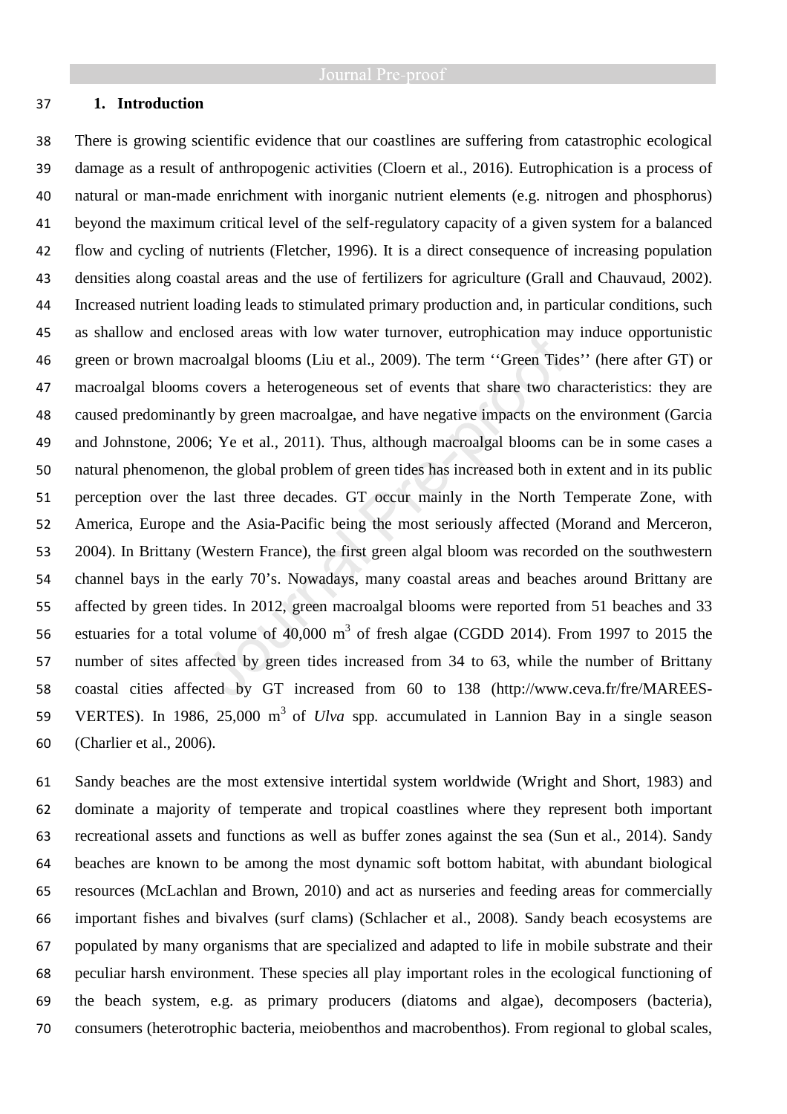### **1. Introduction**

There is growing scientific evidence that our coastlines are suffering from catastrophic ecological damage as a result of anthropogenic activities (Cloern et al., 2016). Eutrophication is a process of natural or man-made enrichment with inorganic nutrient elements (e.g. nitrogen and phosphorus) beyond the maximum critical level of the self-regulatory capacity of a given system for a balanced flow and cycling of nutrients (Fletcher, 1996). It is a direct consequence of increasing population densities along coastal areas and the use of fertilizers for agriculture (Grall and Chauvaud, 2002). Increased nutrient loading leads to stimulated primary production and, in particular conditions, such as shallow and enclosed areas with low water turnover, eutrophication may induce opportunistic green or brown macroalgal blooms (Liu et al., 2009). The term ''Green Tides'' (here after GT) or macroalgal blooms covers a heterogeneous set of events that share two characteristics: they are caused predominantly by green macroalgae, and have negative impacts on the environment (Garcia and Johnstone, 2006; Ye et al., 2011). Thus, although macroalgal blooms can be in some cases a natural phenomenon, the global problem of green tides has increased both in extent and in its public perception over the last three decades. GT occur mainly in the North Temperate Zone, with America, Europe and the Asia-Pacific being the most seriously affected (Morand and Merceron, 2004). In Brittany (Western France), the first green algal bloom was recorded on the southwestern channel bays in the early 70's. Nowadays, many coastal areas and beaches around Brittany are affected by green tides. In 2012, green macroalgal blooms were reported from 51 beaches and 33 56 estuaries for a total volume of  $40,000 \text{ m}^3$  of fresh algae (CGDD 2014). From 1997 to 2015 the number of sites affected by green tides increased from 34 to 63, while the number of Brittany coastal cities affected by GT increased from 60 to 138 (http://www.ceva.fr/fre/MAREES-59 VERTES). In 1986, 25,000 m<sup>3</sup> of *Ulva* spp. accumulated in Lannion Bay in a single season (Charlier et al., 2006).

Sandy beaches are the most extensive intertidal system worldwide (Wright and Short, 1983) and dominate a majority of temperate and tropical coastlines where they represent both important recreational assets and functions as well as buffer zones against the sea (Sun et al., 2014). Sandy beaches are known to be among the most dynamic soft bottom habitat, with abundant biological resources (McLachlan and Brown, 2010) and act as nurseries and feeding areas for commercially important fishes and bivalves (surf clams) (Schlacher et al., 2008). Sandy beach ecosystems are populated by many organisms that are specialized and adapted to life in mobile substrate and their peculiar harsh environment. These species all play important roles in the ecological functioning of the beach system, e.g. as primary producers (diatoms and algae), decomposers (bacteria), consumers (heterotrophic bacteria, meiobenthos and macrobenthos). From regional to global scales,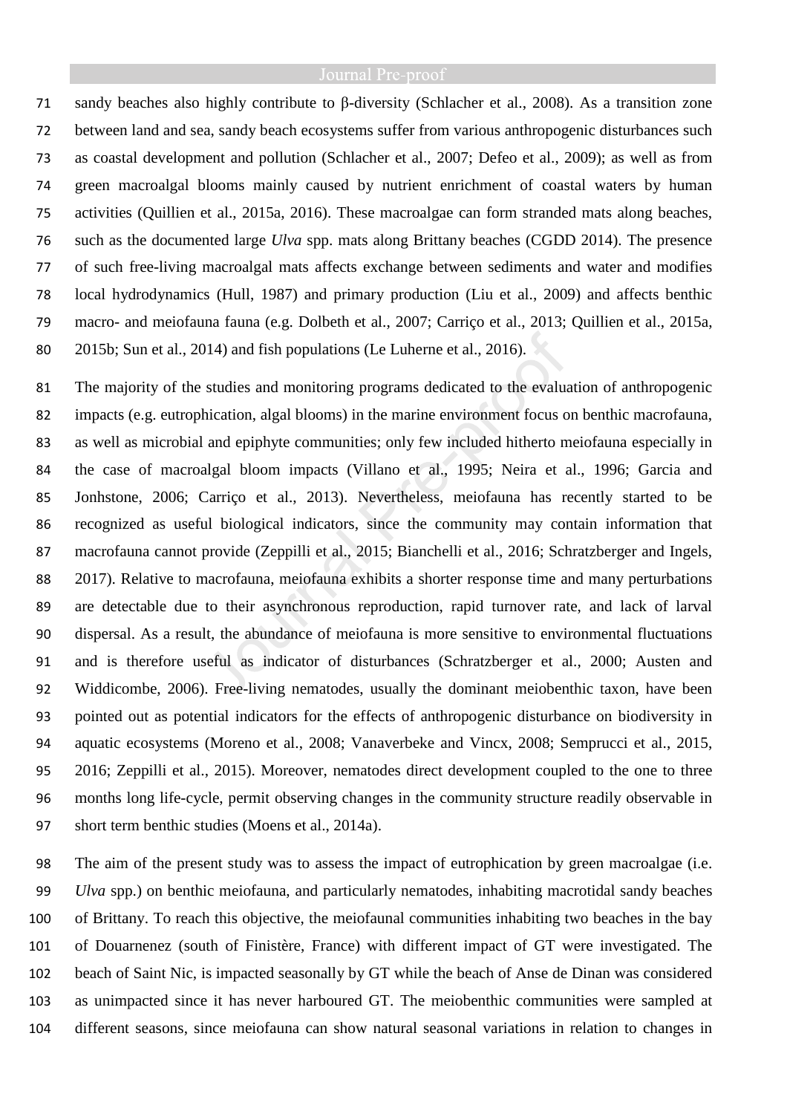sandy beaches also highly contribute to β-diversity (Schlacher et al., 2008). As a transition zone between land and sea, sandy beach ecosystems suffer from various anthropogenic disturbances such as coastal development and pollution (Schlacher et al., 2007; Defeo et al., 2009); as well as from green macroalgal blooms mainly caused by nutrient enrichment of coastal waters by human activities (Quillien et al., 2015a, 2016). These macroalgae can form stranded mats along beaches, such as the documented large *Ulva* spp. mats along Brittany beaches (CGDD 2014). The presence of such free-living macroalgal mats affects exchange between sediments and water and modifies local hydrodynamics (Hull, 1987) and primary production (Liu et al., 2009) and affects benthic macro- and meiofauna fauna (e.g. Dolbeth et al., 2007; Carriço et al., 2013; Quillien et al., 2015a, 2015b; Sun et al., 2014) and fish populations (Le Luherne et al., 2016).

The majority of the studies and monitoring programs dedicated to the evaluation of anthropogenic impacts (e.g. eutrophication, algal blooms) in the marine environment focus on benthic macrofauna, as well as microbial and epiphyte communities; only few included hitherto meiofauna especially in the case of macroalgal bloom impacts (Villano et al., 1995; Neira et al., 1996; Garcia and Jonhstone, 2006; Carriço et al., 2013). Nevertheless, meiofauna has recently started to be recognized as useful biological indicators, since the community may contain information that macrofauna cannot provide (Zeppilli et al., 2015; Bianchelli et al., 2016; Schratzberger and Ingels, 2017). Relative to macrofauna, meiofauna exhibits a shorter response time and many perturbations are detectable due to their asynchronous reproduction, rapid turnover rate, and lack of larval dispersal. As a result, the abundance of meiofauna is more sensitive to environmental fluctuations and is therefore useful as indicator of disturbances (Schratzberger et al., 2000; Austen and Widdicombe, 2006). Free-living nematodes, usually the dominant meiobenthic taxon, have been pointed out as potential indicators for the effects of anthropogenic disturbance on biodiversity in aquatic ecosystems (Moreno et al., 2008; Vanaverbeke and Vincx, 2008; Semprucci et al., 2015, 2016; Zeppilli et al., 2015). Moreover, nematodes direct development coupled to the one to three months long life-cycle, permit observing changes in the community structure readily observable in short term benthic studies (Moens et al., 2014a).

The aim of the present study was to assess the impact of eutrophication by green macroalgae (i.e. *Ulva* spp.) on benthic meiofauna, and particularly nematodes, inhabiting macrotidal sandy beaches of Brittany. To reach this objective, the meiofaunal communities inhabiting two beaches in the bay of Douarnenez (south of Finistère, France) with different impact of GT were investigated. The beach of Saint Nic, is impacted seasonally by GT while the beach of Anse de Dinan was considered as unimpacted since it has never harboured GT. The meiobenthic communities were sampled at different seasons, since meiofauna can show natural seasonal variations in relation to changes in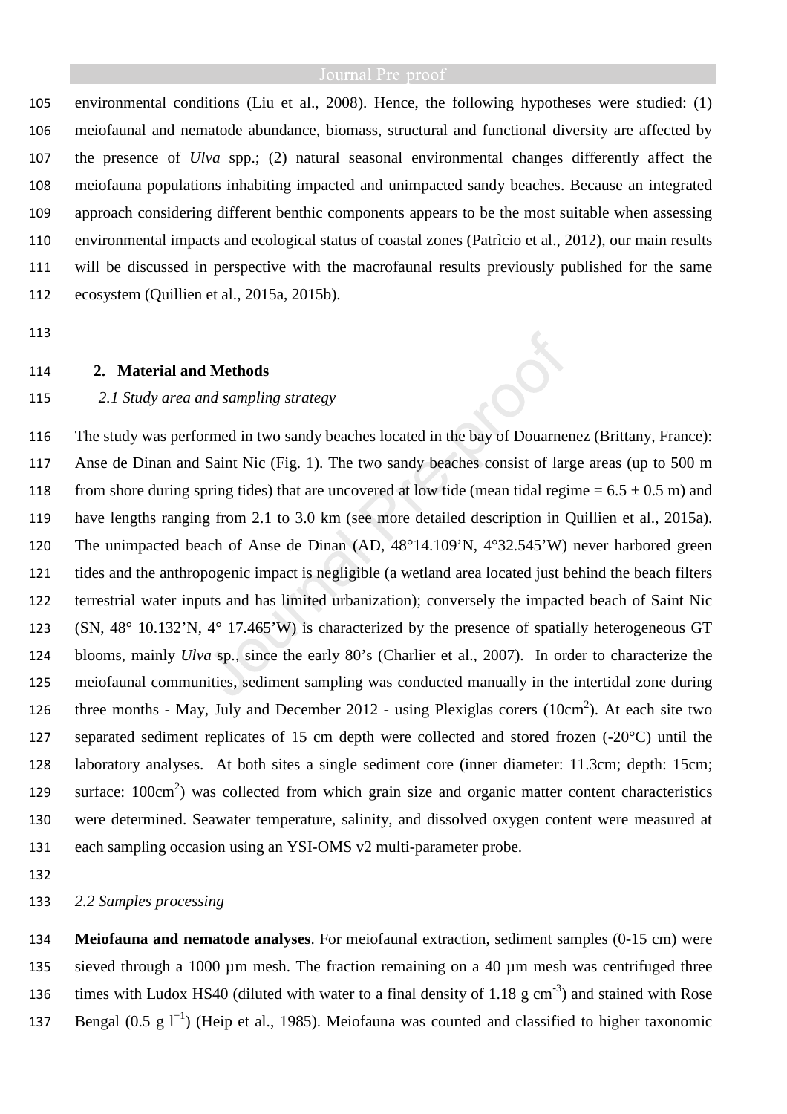environmental conditions (Liu et al., 2008). Hence, the following hypotheses were studied: (1) meiofaunal and nematode abundance, biomass, structural and functional diversity are affected by the presence of *Ulva* spp.; (2) natural seasonal environmental changes differently affect the meiofauna populations inhabiting impacted and unimpacted sandy beaches. Because an integrated approach considering different benthic components appears to be the most suitable when assessing environmental impacts and ecological status of coastal zones (Patrìcio et al., 2012), our main results will be discussed in perspective with the macrofaunal results previously published for the same ecosystem (Quillien et al., 2015a, 2015b).

### **2. Material and Methods**

# *2.1 Study area and sampling strategy*

The study was performed in two sandy beaches located in the bay of Douarnenez (Brittany, France): Anse de Dinan and Saint Nic (Fig. 1). The two sandy beaches consist of large areas (up to 500 m 118 from shore during spring tides) that are uncovered at low tide (mean tidal regime  $= 6.5 \pm 0.5$  m) and have lengths ranging from 2.1 to 3.0 km (see more detailed description in Quillien et al., 2015a). The unimpacted beach of Anse de Dinan (AD, 48°14.109'N, 4°32.545'W) never harbored green tides and the anthropogenic impact is negligible (a wetland area located just behind the beach filters terrestrial water inputs and has limited urbanization); conversely the impacted beach of Saint Nic (SN, 48° 10.132'N, 4° 17.465'W) is characterized by the presence of spatially heterogeneous GT blooms, mainly *Ulva* sp., since the early 80's (Charlier et al., 2007). In order to characterize the meiofaunal communities, sediment sampling was conducted manually in the intertidal zone during 126 three months - May, July and December 2012 - using Plexiglas corers  $(10 \text{cm}^2)$ . At each site two separated sediment replicates of 15 cm depth were collected and stored frozen (-20°C) until the laboratory analyses. At both sites a single sediment core (inner diameter: 11.3cm; depth: 15cm; 129 surface:  $100 \text{cm}^2$ ) was collected from which grain size and organic matter content characteristics were determined. Seawater temperature, salinity, and dissolved oxygen content were measured at each sampling occasion using an YSI-OMS v2 multi-parameter probe.

# *2.2 Samples processing*

**Meiofauna and nematode analyses**. For meiofaunal extraction, sediment samples (0-15 cm) were sieved through a 1000 µm mesh. The fraction remaining on a 40 µm mesh was centrifuged three times with Ludox HS40 (diluted with water to a final density of 1.18 g cm<sup>-3</sup>) and stained with Rose Bengal (0.5 g  $l^{-1}$ ) (Heip et al., 1985). Meiofauna was counted and classified to higher taxonomic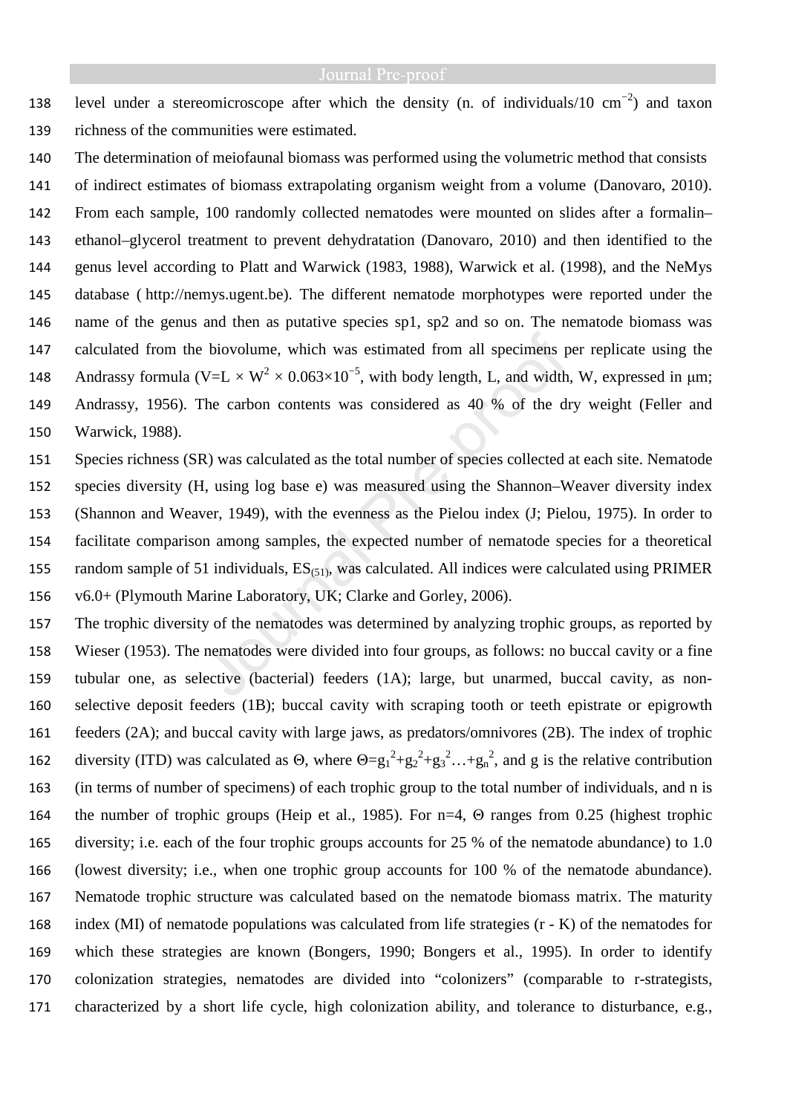138 level under a stereomicroscope after which the density (n. of individuals/10 cm<sup>-2</sup>) and taxon richness of the communities were estimated.

The determination of meiofaunal biomass was performed using the volumetric method that consists of indirect estimates of biomass extrapolating organism weight from a volume (Danovaro, 2010). From each sample, 100 randomly collected nematodes were mounted on slides after a formalin– ethanol–glycerol treatment to prevent dehydratation (Danovaro, 2010) and then identified to the genus level according to Platt and Warwick (1983, 1988), Warwick et al. (1998), and the NeMys database ( http://nemys.ugent.be). The different nematode morphotypes were reported under the name of the genus and then as putative species sp1, sp2 and so on. The nematode biomass was calculated from the biovolume, which was estimated from all specimens per replicate using the 148 Andrassy formula (V=L  $\times$  W<sup>2</sup>  $\times$  0.063 $\times$ 10<sup>-5</sup>, with body length, L, and width, W, expressed in  $\mu$ m; Andrassy, 1956). The carbon contents was considered as 40 % of the dry weight (Feller and Warwick, 1988).

- Species richness (SR) was calculated as the total number of species collected at each site. Nematode species diversity (H, using log base e) was measured using the Shannon–Weaver diversity index (Shannon and Weaver, 1949), with the evenness as the Pielou index (J; Pielou, 1975). In order to facilitate comparison among samples, the expected number of nematode species for a theoretical 155 random sample of 51 individuals,  $ES_{(51)}$ , was calculated. All indices were calculated using PRIMER v6.0+ (Plymouth Marine Laboratory, UK; Clarke and Gorley, 2006).
- The trophic diversity of the nematodes was determined by analyzing trophic groups, as reported by Wieser (1953). The nematodes were divided into four groups, as follows: no buccal cavity or a fine tubular one, as selective (bacterial) feeders (1A); large, but unarmed, buccal cavity, as non-selective deposit feeders (1B); buccal cavity with scraping tooth or teeth epistrate or epigrowth feeders (2A); and buccal cavity with large jaws, as predators/omnivores (2B). The index of trophic 162 diversity (ITD) was calculated as  $\Theta$ , where  $\Theta = g_1^2 + g_2^2 + g_3^2... + g_n^2$ , and g is the relative contribution (in terms of number of specimens) of each trophic group to the total number of individuals, and n is the number of trophic groups (Heip et al., 1985). For n=4, Θ ranges from 0.25 (highest trophic diversity; i.e. each of the four trophic groups accounts for 25 % of the nematode abundance) to 1.0 (lowest diversity; i.e., when one trophic group accounts for 100 % of the nematode abundance). Nematode trophic structure was calculated based on the nematode biomass matrix. The maturity index (MI) of nematode populations was calculated from life strategies (r - K) of the nematodes for which these strategies are known (Bongers, 1990; Bongers et al., 1995). In order to identify colonization strategies, nematodes are divided into "colonizers" (comparable to r-strategists, characterized by a short life cycle, high colonization ability, and tolerance to disturbance, e.g.,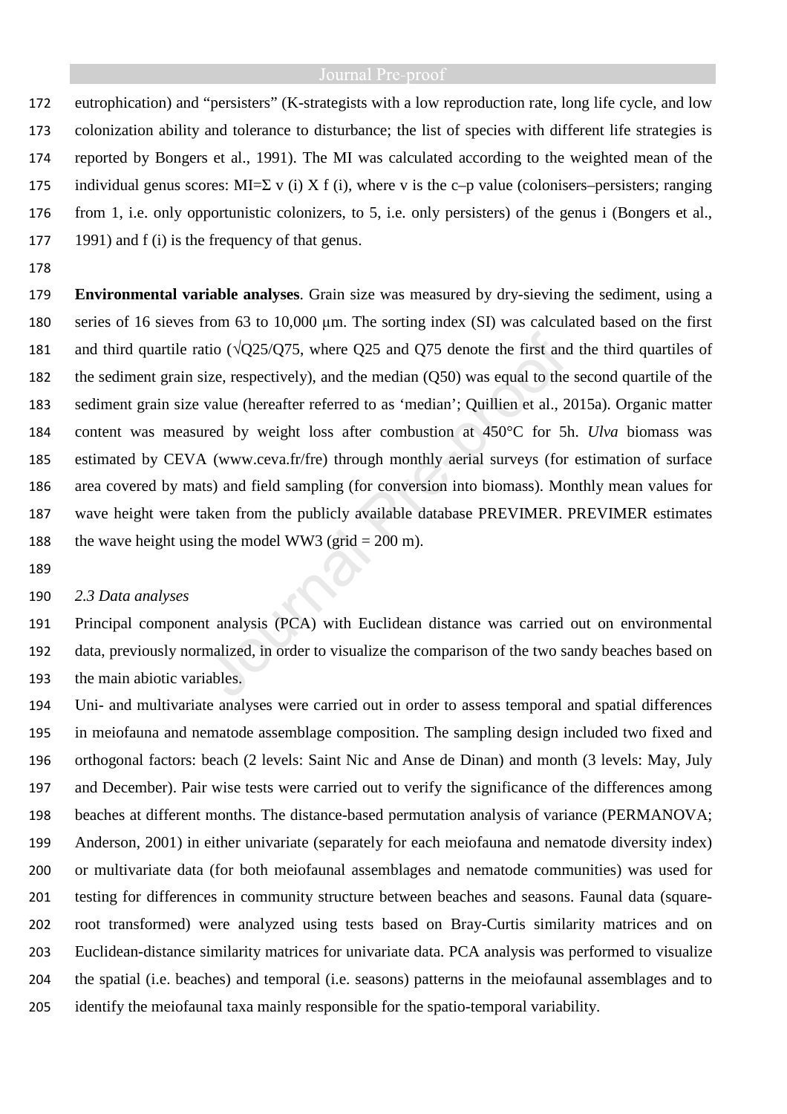eutrophication) and "persisters" (K-strategists with a low reproduction rate, long life cycle, and low colonization ability and tolerance to disturbance; the list of species with different life strategies is reported by Bongers et al., 1991). The MI was calculated according to the weighted mean of the 175 individual genus scores: MI= $\Sigma$  v (i) X f (i), where v is the c–p value (colonisers–persisters; ranging from 1, i.e. only opportunistic colonizers, to 5, i.e. only persisters) of the genus i (Bongers et al., 1991) and f (i) is the frequency of that genus.

**Environmental variable analyses**. Grain size was measured by dry-sieving the sediment, using a series of 16 sieves from 63 to 10,000 µm. The sorting index (SI) was calculated based on the first and third quartile ratio (√Q25/Q75, where Q25 and Q75 denote the first and the third quartiles of the sediment grain size, respectively), and the median (Q50) was equal to the second quartile of the sediment grain size value (hereafter referred to as 'median'; Quillien et al., 2015a). Organic matter content was measured by weight loss after combustion at 450°C for 5h. *Ulva* biomass was estimated by CEVA (www.ceva.fr/fre) through monthly aerial surveys (for estimation of surface area covered by mats) and field sampling (for conversion into biomass). Monthly mean values for wave height were taken from the publicly available database PREVIMER. PREVIMER estimates 188 the wave height using the model WW3 (grid  $= 200$  m).

### *2.3 Data analyses*

Principal component analysis (PCA) with Euclidean distance was carried out on environmental data, previously normalized, in order to visualize the comparison of the two sandy beaches based on the main abiotic variables.

Uni- and multivariate analyses were carried out in order to assess temporal and spatial differences in meiofauna and nematode assemblage composition. The sampling design included two fixed and orthogonal factors: beach (2 levels: Saint Nic and Anse de Dinan) and month (3 levels: May, July and December). Pair wise tests were carried out to verify the significance of the differences among beaches at different months. The distance-based permutation analysis of variance (PERMANOVA; Anderson, 2001) in either univariate (separately for each meiofauna and nematode diversity index) or multivariate data (for both meiofaunal assemblages and nematode communities) was used for testing for differences in community structure between beaches and seasons. Faunal data (square-root transformed) were analyzed using tests based on Bray-Curtis similarity matrices and on Euclidean-distance similarity matrices for univariate data. PCA analysis was performed to visualize the spatial (i.e. beaches) and temporal (i.e. seasons) patterns in the meiofaunal assemblages and to identify the meiofaunal taxa mainly responsible for the spatio-temporal variability.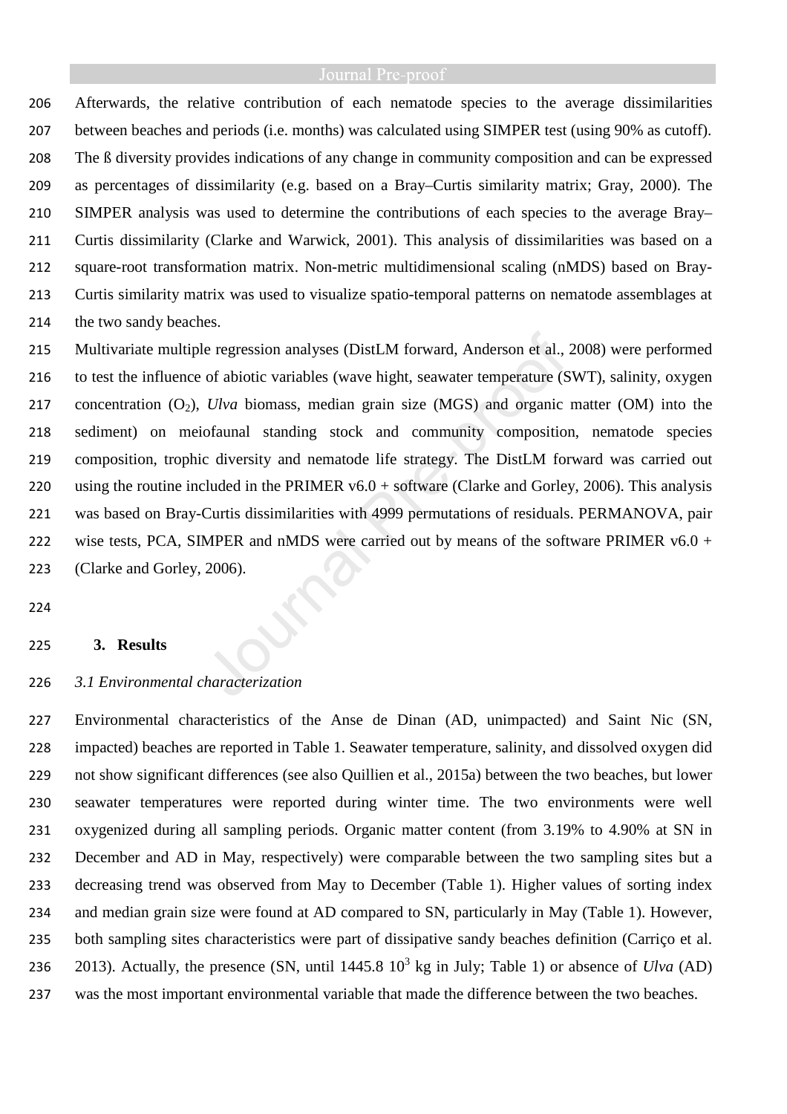Afterwards, the relative contribution of each nematode species to the average dissimilarities between beaches and periods (i.e. months) was calculated using SIMPER test (using 90% as cutoff). The ß diversity provides indications of any change in community composition and can be expressed as percentages of dissimilarity (e.g. based on a Bray–Curtis similarity matrix; Gray, 2000). The SIMPER analysis was used to determine the contributions of each species to the average Bray– Curtis dissimilarity (Clarke and Warwick, 2001). This analysis of dissimilarities was based on a square-root transformation matrix. Non-metric multidimensional scaling (nMDS) based on Bray-Curtis similarity matrix was used to visualize spatio-temporal patterns on nematode assemblages at the two sandy beaches.

Multivariate multiple regression analyses (DistLM forward, Anderson et al., 2008) were performed to test the influence of abiotic variables (wave hight, seawater temperature (SWT), salinity, oxygen 217 concentration  $(O_2)$ , *Ulva* biomass, median grain size (MGS) and organic matter (OM) into the sediment) on meiofaunal standing stock and community composition, nematode species composition, trophic diversity and nematode life strategy. The DistLM forward was carried out using the routine included in the PRIMER v6.0 + software (Clarke and Gorley, 2006). This analysis was based on Bray-Curtis dissimilarities with 4999 permutations of residuals. PERMANOVA, pair 222 wise tests, PCA, SIMPER and nMDS were carried out by means of the software PRIMER v6.0 + (Clarke and Gorley, 2006).

### **3. Results**

### *3.1 Environmental characterization*

Environmental characteristics of the Anse de Dinan (AD, unimpacted) and Saint Nic (SN, impacted) beaches are reported in Table 1. Seawater temperature, salinity, and dissolved oxygen did not show significant differences (see also Quillien et al., 2015a) between the two beaches, but lower seawater temperatures were reported during winter time. The two environments were well oxygenized during all sampling periods. Organic matter content (from 3.19% to 4.90% at SN in December and AD in May, respectively) were comparable between the two sampling sites but a decreasing trend was observed from May to December (Table 1). Higher values of sorting index and median grain size were found at AD compared to SN, particularly in May (Table 1). However, both sampling sites characteristics were part of dissipative sandy beaches definition (Carriço et al. 236 2013). Actually, the presence (SN, until  $1445.8 \times 10^3$  kg in July; Table 1) or absence of *Ulva* (AD) was the most important environmental variable that made the difference between the two beaches.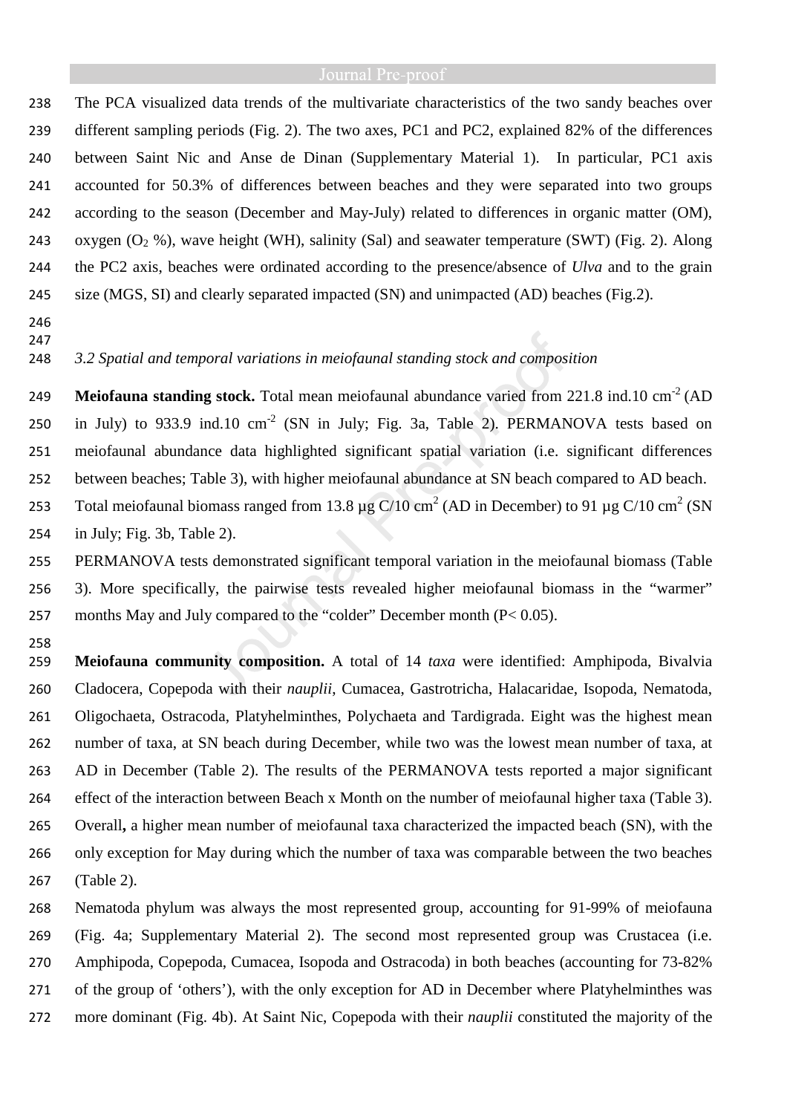The PCA visualized data trends of the multivariate characteristics of the two sandy beaches over different sampling periods (Fig. 2). The two axes, PC1 and PC2, explained 82% of the differences between Saint Nic and Anse de Dinan (Supplementary Material 1). In particular, PC1 axis accounted for 50.3% of differences between beaches and they were separated into two groups according to the season (December and May-July) related to differences in organic matter (OM), 243 oxygen  $(0, \%)$ , wave height (WH), salinity (Sal) and seawater temperature (SWT) (Fig. 2). Along the PC2 axis, beaches were ordinated according to the presence/absence of *Ulva* and to the grain size (MGS, SI) and clearly separated impacted (SN) and unimpacted (AD) beaches (Fig.2).

 

### *3.2 Spatial and temporal variations in meiofaunal standing stock and composition*

249 Meiofauna standing stock. Total mean meiofaunal abundance varied from 221.8 ind.10 cm<sup>-2</sup> (AD 250 in July) to 933.9 ind.10 cm<sup>-2</sup> (SN in July; Fig. 3a, Table 2). PERMANOVA tests based on meiofaunal abundance data highlighted significant spatial variation (i.e. significant differences between beaches; Table 3), with higher meiofaunal abundance at SN beach compared to AD beach. 253 Total meiofaunal biomass ranged from 13.8  $\mu$ g C/10 cm<sup>2</sup> (AD in December) to 91  $\mu$ g C/10 cm<sup>2</sup> (SN in July; Fig. 3b, Table 2).

PERMANOVA tests demonstrated significant temporal variation in the meiofaunal biomass (Table 3). More specifically, the pairwise tests revealed higher meiofaunal biomass in the "warmer" months May and July compared to the "colder" December month (P< 0.05).

**Meiofauna community composition.** A total of 14 *taxa* were identified: Amphipoda, Bivalvia Cladocera, Copepoda with their *nauplii*, Cumacea, Gastrotricha, Halacaridae, Isopoda, Nematoda, Oligochaeta, Ostracoda, Platyhelminthes, Polychaeta and Tardigrada. Eight was the highest mean number of taxa, at SN beach during December, while two was the lowest mean number of taxa, at AD in December (Table 2). The results of the PERMANOVA tests reported a major significant effect of the interaction between Beach x Month on the number of meiofaunal higher taxa (Table 3). Overall**,** a higher mean number of meiofaunal taxa characterized the impacted beach (SN), with the only exception for May during which the number of taxa was comparable between the two beaches (Table 2).

Nematoda phylum was always the most represented group, accounting for 91-99% of meiofauna (Fig. 4a; Supplementary Material 2). The second most represented group was Crustacea (i.e. Amphipoda, Copepoda, Cumacea, Isopoda and Ostracoda) in both beaches (accounting for 73-82% of the group of 'others'), with the only exception for AD in December where Platyhelminthes was more dominant (Fig. 4b). At Saint Nic, Copepoda with their *nauplii* constituted the majority of the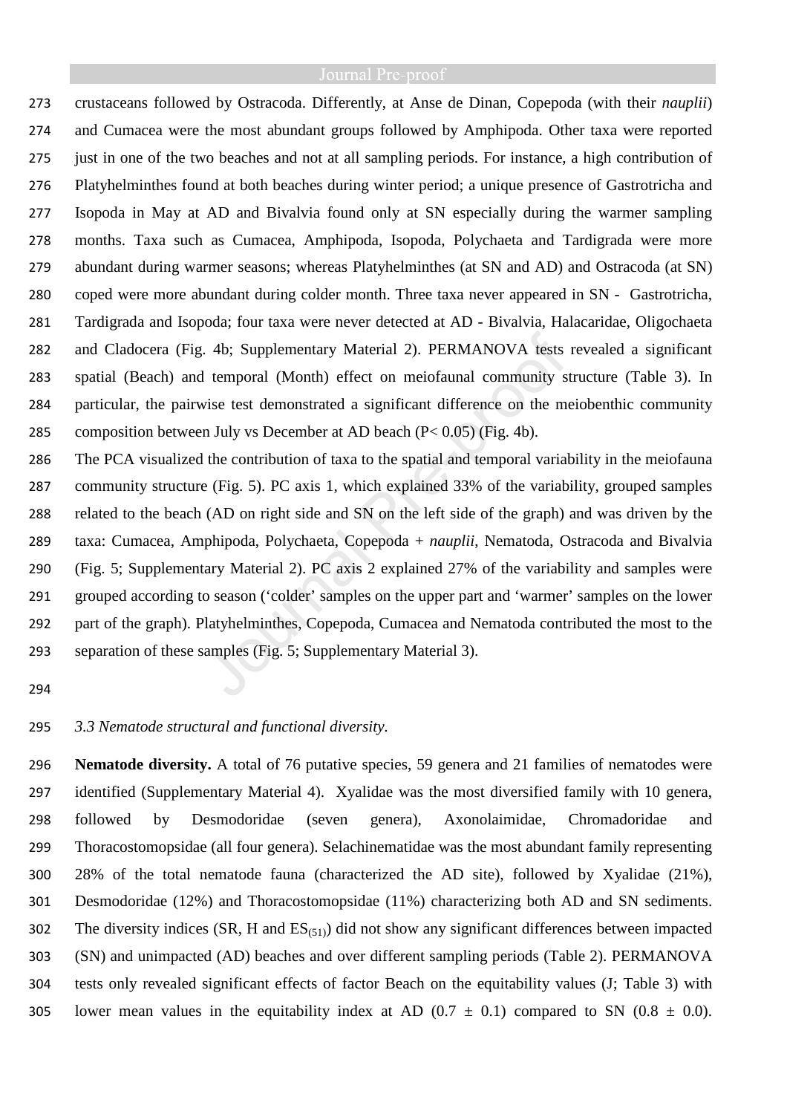crustaceans followed by Ostracoda. Differently, at Anse de Dinan, Copepoda (with their *nauplii*) and Cumacea were the most abundant groups followed by Amphipoda. Other taxa were reported just in one of the two beaches and not at all sampling periods. For instance, a high contribution of Platyhelminthes found at both beaches during winter period; a unique presence of Gastrotricha and Isopoda in May at AD and Bivalvia found only at SN especially during the warmer sampling months. Taxa such as Cumacea, Amphipoda, Isopoda, Polychaeta and Tardigrada were more abundant during warmer seasons; whereas Platyhelminthes (at SN and AD) and Ostracoda (at SN) coped were more abundant during colder month. Three taxa never appeared in SN - Gastrotricha, Tardigrada and Isopoda; four taxa were never detected at AD - Bivalvia, Halacaridae, Oligochaeta and Cladocera (Fig. 4b; Supplementary Material 2). PERMANOVA tests revealed a significant spatial (Beach) and temporal (Month) effect on meiofaunal community structure (Table 3). In particular, the pairwise test demonstrated a significant difference on the meiobenthic community 285 composition between July vs December at AD beach  $(P< 0.05)$  (Fig. 4b).

The PCA visualized the contribution of taxa to the spatial and temporal variability in the meiofauna community structure (Fig. 5). PC axis 1, which explained 33% of the variability, grouped samples related to the beach (AD on right side and SN on the left side of the graph) and was driven by the taxa: Cumacea, Amphipoda, Polychaeta, Copepoda + *nauplii*, Nematoda, Ostracoda and Bivalvia (Fig. 5; Supplementary Material 2). PC axis 2 explained 27% of the variability and samples were grouped according to season ('colder' samples on the upper part and 'warmer' samples on the lower part of the graph). Platyhelminthes, Copepoda, Cumacea and Nematoda contributed the most to the separation of these samples (Fig. 5; Supplementary Material 3).

### *3.3 Nematode structural and functional diversity.*

**Nematode diversity.** A total of 76 putative species, 59 genera and 21 families of nematodes were identified (Supplementary Material 4). Xyalidae was the most diversified family with 10 genera, followed by Desmodoridae (seven genera), Axonolaimidae, Chromadoridae and Thoracostomopsidae (all four genera). Selachinematidae was the most abundant family representing 28% of the total nematode fauna (characterized the AD site), followed by Xyalidae (21%), Desmodoridae (12%) and Thoracostomopsidae (11%) characterizing both AD and SN sediments. 302 The diversity indices  $(SR, H \text{ and } ES_{(51)})$  did not show any significant differences between impacted (SN) and unimpacted (AD) beaches and over different sampling periods (Table 2). PERMANOVA tests only revealed significant effects of factor Beach on the equitability values (J; Table 3) with 305 lower mean values in the equitability index at AD  $(0.7 \pm 0.1)$  compared to SN  $(0.8 \pm 0.0)$ .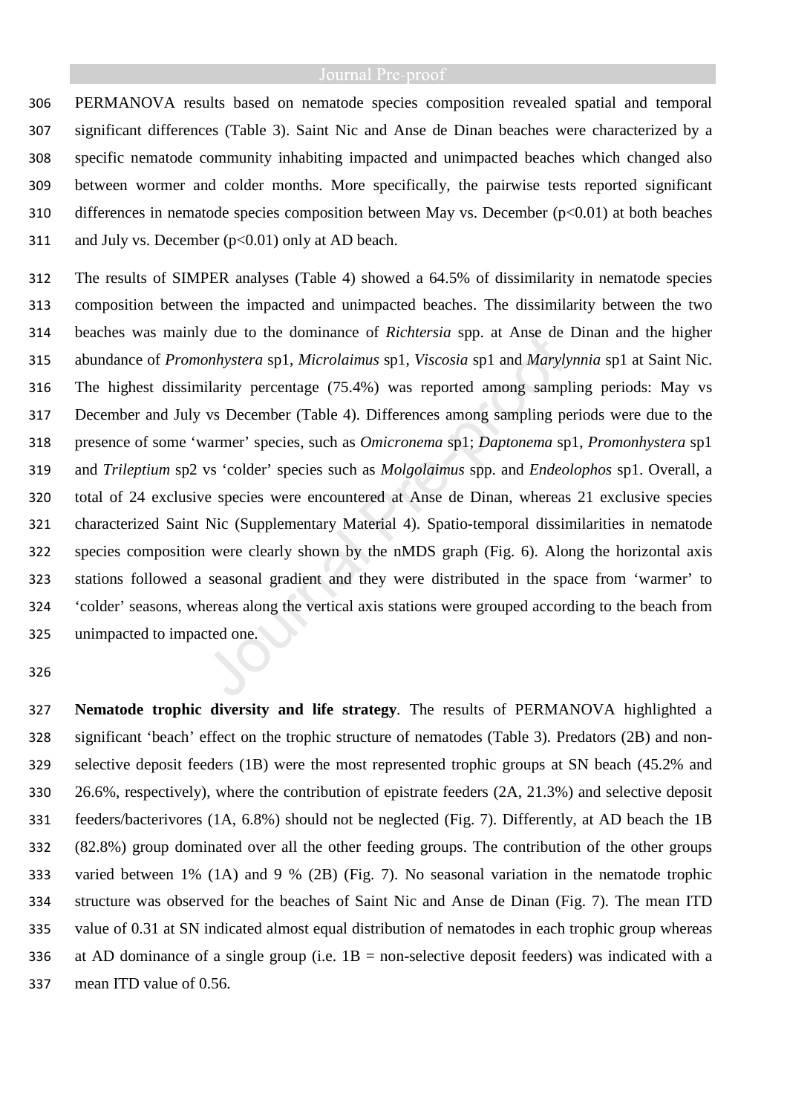PERMANOVA results based on nematode species composition revealed spatial and temporal significant differences (Table 3). Saint Nic and Anse de Dinan beaches were characterized by a specific nematode community inhabiting impacted and unimpacted beaches which changed also between wormer and colder months. More specifically, the pairwise tests reported significant differences in nematode species composition between May vs. December (p<0.01) at both beaches 311 and July vs. December  $(p<0.01)$  only at AD beach.

The results of SIMPER analyses (Table 4) showed a 64.5% of dissimilarity in nematode species composition between the impacted and unimpacted beaches. The dissimilarity between the two beaches was mainly due to the dominance of *Richtersia* spp. at Anse de Dinan and the higher abundance of *Promonhystera* sp1, *Microlaimus* sp1, *Viscosia* sp1 and *Marylynnia* sp1 at Saint Nic. The highest dissimilarity percentage (75.4%) was reported among sampling periods: May vs December and July vs December (Table 4). Differences among sampling periods were due to the presence of some 'warmer' species, such as *Omicronema* sp1; *Daptonema* sp1, *Promonhystera* sp1 and *Trileptium* sp2 vs 'colder' species such as *Molgolaimus* spp. and *Endeolophos* sp1. Overall, a total of 24 exclusive species were encountered at Anse de Dinan, whereas 21 exclusive species characterized Saint Nic (Supplementary Material 4). Spatio-temporal dissimilarities in nematode species composition were clearly shown by the nMDS graph (Fig. 6). Along the horizontal axis stations followed a seasonal gradient and they were distributed in the space from 'warmer' to 'colder' seasons, whereas along the vertical axis stations were grouped according to the beach from unimpacted to impacted one.

**Nematode trophic diversity and life strategy***.* The results of PERMANOVA highlighted a significant 'beach' effect on the trophic structure of nematodes (Table 3). Predators (2B) and non-selective deposit feeders (1B) were the most represented trophic groups at SN beach (45.2% and 26.6%, respectively), where the contribution of epistrate feeders (2A, 21.3%) and selective deposit feeders/bacterivores (1A, 6.8%) should not be neglected (Fig. 7). Differently, at AD beach the 1B (82.8%) group dominated over all the other feeding groups. The contribution of the other groups varied between 1% (1A) and 9 % (2B) (Fig. 7). No seasonal variation in the nematode trophic structure was observed for the beaches of Saint Nic and Anse de Dinan (Fig. 7). The mean ITD value of 0.31 at SN indicated almost equal distribution of nematodes in each trophic group whereas 336 at AD dominance of a single group (i.e.  $1B =$  non-selective deposit feeders) was indicated with a mean ITD value of 0.56.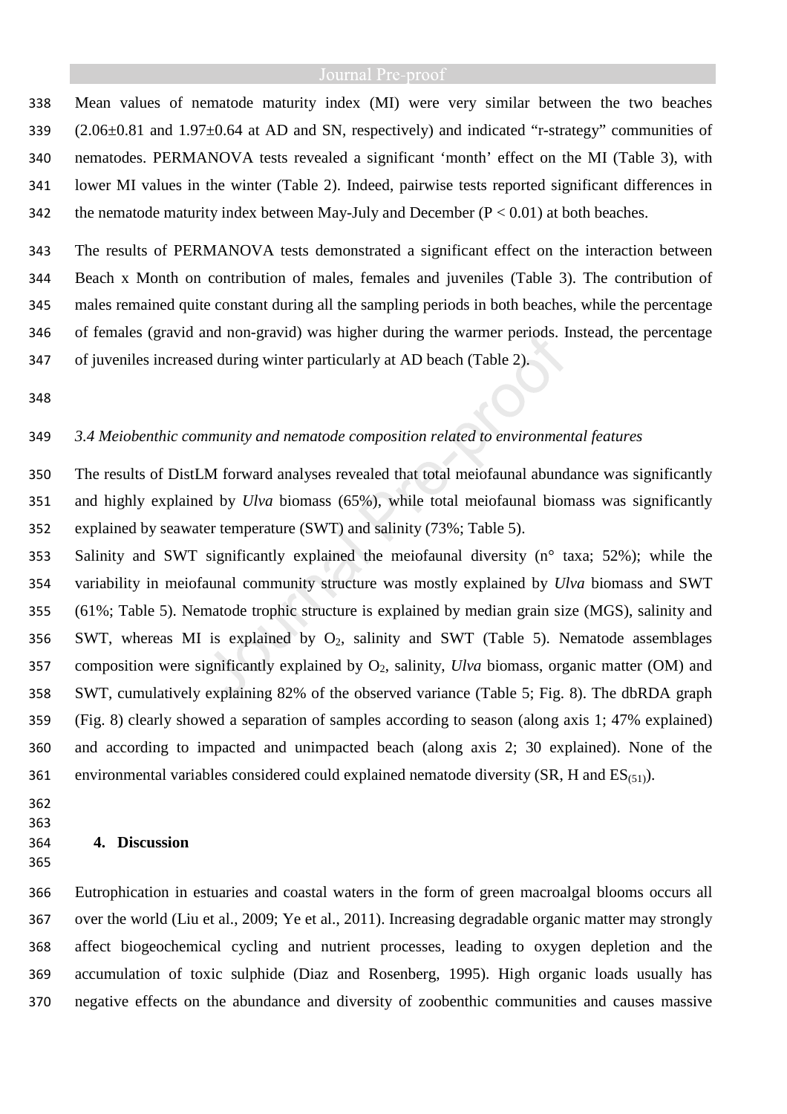Mean values of nematode maturity index (MI) were very similar between the two beaches (2.06±0.81 and 1.97±0.64 at AD and SN, respectively) and indicated "r-strategy" communities of nematodes. PERMANOVA tests revealed a significant 'month' effect on the MI (Table 3), with lower MI values in the winter (Table 2). Indeed, pairwise tests reported significant differences in 342 the nematode maturity index between May-July and December  $(P < 0.01)$  at both beaches.

The results of PERMANOVA tests demonstrated a significant effect on the interaction between Beach x Month on contribution of males, females and juveniles (Table 3). The contribution of males remained quite constant during all the sampling periods in both beaches, while the percentage of females (gravid and non-gravid) was higher during the warmer periods. Instead, the percentage of juveniles increased during winter particularly at AD beach (Table 2).

# *3.4 Meiobenthic community and nematode composition related to environmental features*

The results of DistLM forward analyses revealed that total meiofaunal abundance was significantly and highly explained by *Ulva* biomass (65%), while total meiofaunal biomass was significantly explained by seawater temperature (SWT) and salinity (73%; Table 5).

Salinity and SWT significantly explained the meiofaunal diversity (n° taxa; 52%); while the variability in meiofaunal community structure was mostly explained by *Ulva* biomass and SWT (61%; Table 5). Nematode trophic structure is explained by median grain size (MGS), salinity and 356 SWT, whereas MI is explained by  $O_2$ , salinity and SWT (Table 5). Nematode assemblages 357 composition were significantly explained by O<sub>2</sub>, salinity, *Ulva* biomass, organic matter (OM) and SWT, cumulatively explaining 82% of the observed variance (Table 5; Fig. 8). The dbRDA graph (Fig. 8) clearly showed a separation of samples according to season (along axis 1; 47% explained) and according to impacted and unimpacted beach (along axis 2; 30 explained). None of the 361 environmental variables considered could explained nematode diversity  $(SR, H \text{ and } ES_{(51)})$ .

 

### **4. Discussion**

Eutrophication in estuaries and coastal waters in the form of green macroalgal blooms occurs all over the world (Liu et al., 2009; Ye et al., 2011). Increasing degradable organic matter may strongly affect biogeochemical cycling and nutrient processes, leading to oxygen depletion and the accumulation of toxic sulphide (Diaz and Rosenberg, 1995). High organic loads usually has negative effects on the abundance and diversity of zoobenthic communities and causes massive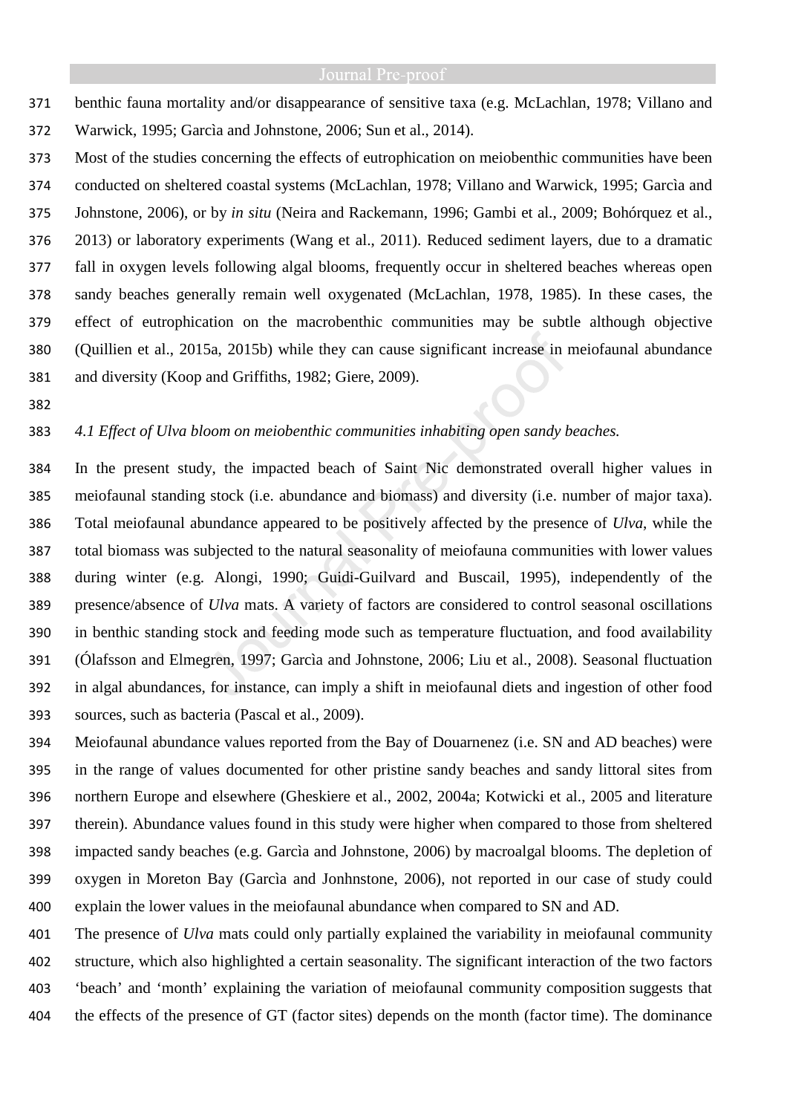benthic fauna mortality and/or disappearance of sensitive taxa (e.g. McLachlan, 1978; Villano and Warwick, 1995; Garcìa and Johnstone, 2006; Sun et al., 2014).

Most of the studies concerning the effects of eutrophication on meiobenthic communities have been conducted on sheltered coastal systems (McLachlan, 1978; Villano and Warwick, 1995; Garcìa and Johnstone, 2006), or by *in situ* (Neira and Rackemann, 1996; Gambi et al., 2009; Bohórquez et al., 2013) or laboratory experiments (Wang et al., 2011). Reduced sediment layers, due to a dramatic fall in oxygen levels following algal blooms, frequently occur in sheltered beaches whereas open sandy beaches generally remain well oxygenated (McLachlan, 1978, 1985). In these cases, the effect of eutrophication on the macrobenthic communities may be subtle although objective (Quillien et al., 2015a, 2015b) while they can cause significant increase in meiofaunal abundance and diversity (Koop and Griffiths, 1982; Giere, 2009).

# *4.1 Effect of Ulva bloom on meiobenthic communities inhabiting open sandy beaches.*

In the present study, the impacted beach of Saint Nic demonstrated overall higher values in meiofaunal standing stock (i.e. abundance and biomass) and diversity (i.e. number of major taxa). Total meiofaunal abundance appeared to be positively affected by the presence of *Ulva*, while the total biomass was subjected to the natural seasonality of meiofauna communities with lower values during winter (e.g. Alongi, 1990; Guidi-Guilvard and Buscail, 1995), independently of the presence/absence of *Ulva* mats. A variety of factors are considered to control seasonal oscillations in benthic standing stock and feeding mode such as temperature fluctuation, and food availability (Ólafsson and Elmegren, 1997; Garcìa and Johnstone, 2006; Liu et al., 2008). Seasonal fluctuation in algal abundances, for instance, can imply a shift in meiofaunal diets and ingestion of other food sources, such as bacteria (Pascal et al., 2009).

Meiofaunal abundance values reported from the Bay of Douarnenez (i.e. SN and AD beaches) were in the range of values documented for other pristine sandy beaches and sandy littoral sites from northern Europe and elsewhere (Gheskiere et al., 2002, 2004a; Kotwicki et al., 2005 and literature therein). Abundance values found in this study were higher when compared to those from sheltered impacted sandy beaches (e.g. Garcìa and Johnstone, 2006) by macroalgal blooms. The depletion of oxygen in Moreton Bay (Garcìa and Jonhnstone, 2006), not reported in our case of study could explain the lower values in the meiofaunal abundance when compared to SN and AD.

The presence of *Ulva* mats could only partially explained the variability in meiofaunal community structure, which also highlighted a certain seasonality. The significant interaction of the two factors 'beach' and 'month' explaining the variation of meiofaunal community composition suggests that the effects of the presence of GT (factor sites) depends on the month (factor time). The dominance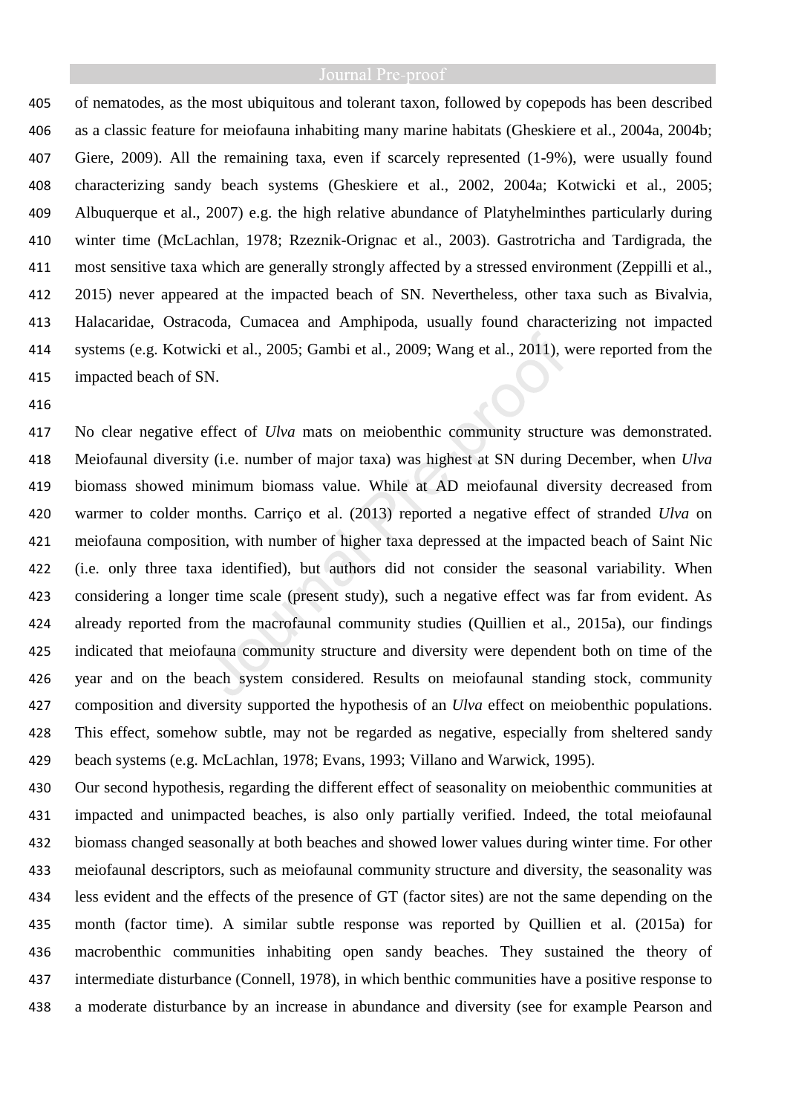of nematodes, as the most ubiquitous and tolerant taxon, followed by copepods has been described as a classic feature for meiofauna inhabiting many marine habitats (Gheskiere et al., 2004a, 2004b; Giere, 2009). All the remaining taxa, even if scarcely represented (1-9%), were usually found characterizing sandy beach systems (Gheskiere et al., 2002, 2004a; Kotwicki et al., 2005; Albuquerque et al., 2007) e.g. the high relative abundance of Platyhelminthes particularly during winter time (McLachlan, 1978; Rzeznik-Orignac et al., 2003). Gastrotricha and Tardigrada, the most sensitive taxa which are generally strongly affected by a stressed environment (Zeppilli et al., 2015) never appeared at the impacted beach of SN. Nevertheless, other taxa such as Bivalvia, Halacaridae, Ostracoda, Cumacea and Amphipoda, usually found characterizing not impacted systems (e.g. Kotwicki et al., 2005; Gambi et al., 2009; Wang et al., 2011), were reported from the impacted beach of SN.

No clear negative effect of *Ulva* mats on meiobenthic community structure was demonstrated. Meiofaunal diversity (i.e. number of major taxa) was highest at SN during December, when *Ulva* biomass showed minimum biomass value. While at AD meiofaunal diversity decreased from warmer to colder months. Carriço et al. (2013) reported a negative effect of stranded *Ulva* on meiofauna composition, with number of higher taxa depressed at the impacted beach of Saint Nic (i.e. only three taxa identified), but authors did not consider the seasonal variability. When considering a longer time scale (present study), such a negative effect was far from evident. As already reported from the macrofaunal community studies (Quillien et al., 2015a), our findings indicated that meiofauna community structure and diversity were dependent both on time of the year and on the beach system considered. Results on meiofaunal standing stock, community composition and diversity supported the hypothesis of an *Ulva* effect on meiobenthic populations. This effect, somehow subtle, may not be regarded as negative, especially from sheltered sandy beach systems (e.g. McLachlan, 1978; Evans, 1993; Villano and Warwick, 1995).

Our second hypothesis, regarding the different effect of seasonality on meiobenthic communities at impacted and unimpacted beaches, is also only partially verified. Indeed, the total meiofaunal biomass changed seasonally at both beaches and showed lower values during winter time. For other meiofaunal descriptors, such as meiofaunal community structure and diversity, the seasonality was less evident and the effects of the presence of GT (factor sites) are not the same depending on the month (factor time). A similar subtle response was reported by Quillien et al. (2015a) for macrobenthic communities inhabiting open sandy beaches. They sustained the theory of intermediate disturbance (Connell, 1978), in which benthic communities have a positive response to a moderate disturbance by an increase in abundance and diversity (see for example Pearson and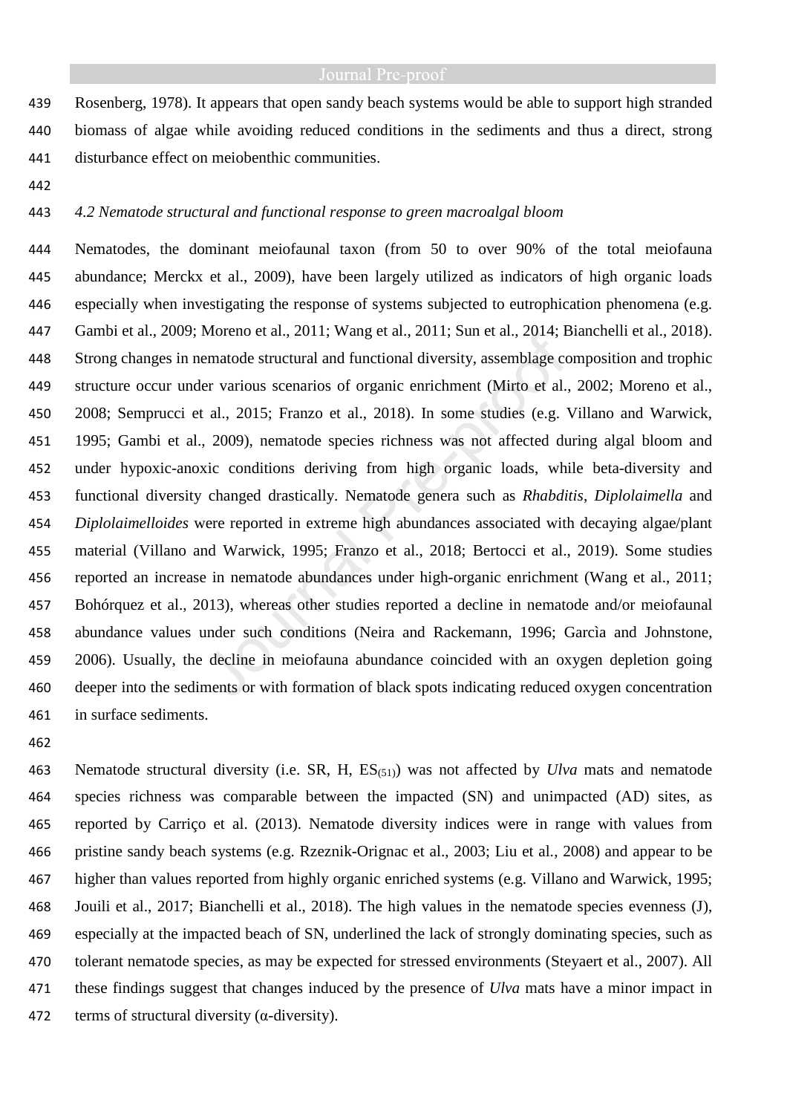Rosenberg, 1978). It appears that open sandy beach systems would be able to support high stranded biomass of algae while avoiding reduced conditions in the sediments and thus a direct, strong disturbance effect on meiobenthic communities.

*4.2 Nematode structural and functional response to green macroalgal bloom* 

Nematodes, the dominant meiofaunal taxon (from 50 to over 90% of the total meiofauna abundance; Merckx et al., 2009), have been largely utilized as indicators of high organic loads especially when investigating the response of systems subjected to eutrophication phenomena (e.g. Gambi et al., 2009; Moreno et al., 2011; Wang et al., 2011; Sun et al., 2014; Bianchelli et al., 2018). Strong changes in nematode structural and functional diversity, assemblage composition and trophic structure occur under various scenarios of organic enrichment (Mirto et al., 2002; Moreno et al., 2008; Semprucci et al., 2015; Franzo et al., 2018). In some studies (e.g. Villano and Warwick, 1995; Gambi et al., 2009), nematode species richness was not affected during algal bloom and under hypoxic-anoxic conditions deriving from high organic loads, while beta-diversity and functional diversity changed drastically. Nematode genera such as *Rhabditis*, *Diplolaimella* and *Diplolaimelloides* were reported in extreme high abundances associated with decaying algae/plant material (Villano and Warwick, 1995; Franzo et al., 2018; Bertocci et al., 2019). Some studies reported an increase in nematode abundances under high-organic enrichment (Wang et al., 2011; Bohórquez et al., 2013), whereas other studies reported a decline in nematode and/or meiofaunal abundance values under such conditions (Neira and Rackemann, 1996; Garcìa and Johnstone, 2006). Usually, the decline in meiofauna abundance coincided with an oxygen depletion going deeper into the sediments or with formation of black spots indicating reduced oxygen concentration in surface sediments.

Nematode structural diversity (i.e. SR, H, ES(51)) was not affected by *Ulva* mats and nematode species richness was comparable between the impacted (SN) and unimpacted (AD) sites, as reported by Carriço et al. (2013). Nematode diversity indices were in range with values from pristine sandy beach systems (e.g. Rzeznik-Orignac et al., 2003; Liu et al., 2008) and appear to be higher than values reported from highly organic enriched systems (e.g. Villano and Warwick, 1995; Jouili et al., 2017; Bianchelli et al., 2018). The high values in the nematode species evenness (J), especially at the impacted beach of SN, underlined the lack of strongly dominating species, such as tolerant nematode species, as may be expected for stressed environments (Steyaert et al., 2007). All these findings suggest that changes induced by the presence of *Ulva* mats have a minor impact in 472 terms of structural diversity ( $α$ -diversity).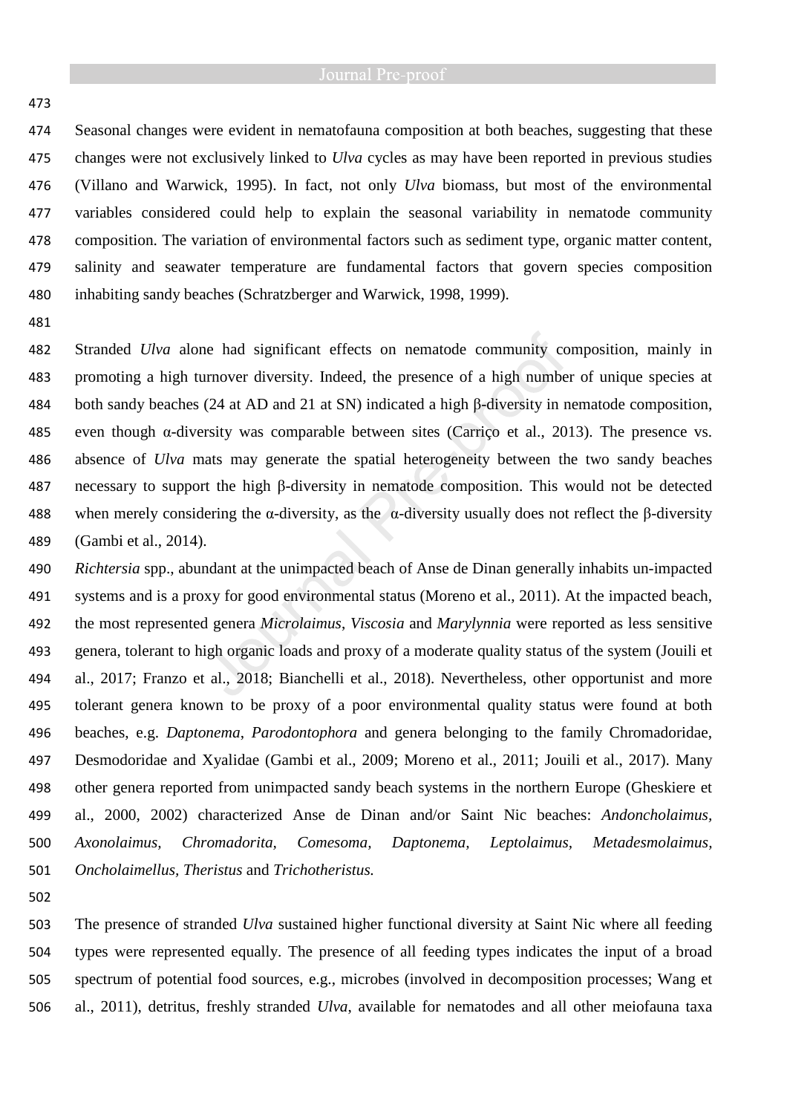Seasonal changes were evident in nematofauna composition at both beaches, suggesting that these changes were not exclusively linked to *Ulva* cycles as may have been reported in previous studies (Villano and Warwick, 1995). In fact, not only *Ulva* biomass, but most of the environmental variables considered could help to explain the seasonal variability in nematode community composition. The variation of environmental factors such as sediment type, organic matter content, salinity and seawater temperature are fundamental factors that govern species composition inhabiting sandy beaches (Schratzberger and Warwick, 1998, 1999).

Stranded *Ulva* alone had significant effects on nematode community composition, mainly in promoting a high turnover diversity. Indeed, the presence of a high number of unique species at both sandy beaches (24 at AD and 21 at SN) indicated a high β-diversity in nematode composition, 485 even though  $\alpha$ -diversity was comparable between sites (Carriço et al., 2013). The presence vs. absence of *Ulva* mats may generate the spatial heterogeneity between the two sandy beaches necessary to support the high β-diversity in nematode composition. This would not be detected 488 when merely considering the α-diversity, as the  $\alpha$ -diversity usually does not reflect the β-diversity (Gambi et al., 2014).

*Richtersia* spp., abundant at the unimpacted beach of Anse de Dinan generally inhabits un-impacted systems and is a proxy for good environmental status (Moreno et al., 2011). At the impacted beach, the most represented genera *Microlaimus*, *Viscosia* and *Marylynnia* were reported as less sensitive genera, tolerant to high organic loads and proxy of a moderate quality status of the system (Jouili et al., 2017; Franzo et al., 2018; Bianchelli et al., 2018). Nevertheless, other opportunist and more tolerant genera known to be proxy of a poor environmental quality status were found at both beaches, e.g. *Daptonema*, *Parodontophora* and genera belonging to the family Chromadoridae, Desmodoridae and Xyalidae (Gambi et al., 2009; Moreno et al., 2011; Jouili et al., 2017). Many other genera reported from unimpacted sandy beach systems in the northern Europe (Gheskiere et al., 2000, 2002) characterized Anse de Dinan and/or Saint Nic beaches: *Andoncholaimus, Axonolaimus, Chromadorita, Comesoma, Daptonema, Leptolaimus, Metadesmolaimus, Oncholaimellus, Theristus* and *Trichotheristus.*

The presence of stranded *Ulva* sustained higher functional diversity at Saint Nic where all feeding types were represented equally. The presence of all feeding types indicates the input of a broad spectrum of potential food sources, e.g., microbes (involved in decomposition processes; Wang et al., 2011), detritus, freshly stranded *Ulva*, available for nematodes and all other meiofauna taxa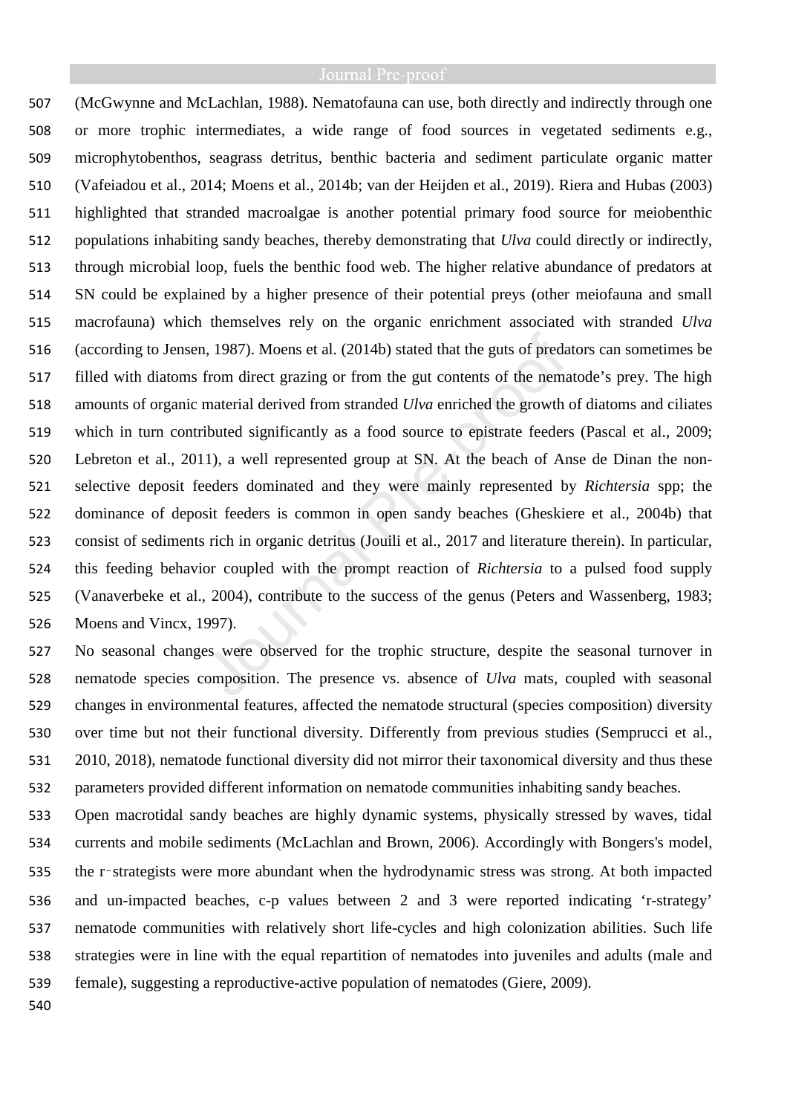(McGwynne and McLachlan, 1988). Nematofauna can use, both directly and indirectly through one or more trophic intermediates, a wide range of food sources in vegetated sediments e.g., microphytobenthos, seagrass detritus, benthic bacteria and sediment particulate organic matter (Vafeiadou et al., 2014; Moens et al., 2014b; van der Heijden et al., 2019). Riera and Hubas (2003) highlighted that stranded macroalgae is another potential primary food source for meiobenthic populations inhabiting sandy beaches, thereby demonstrating that *Ulva* could directly or indirectly, through microbial loop, fuels the benthic food web. The higher relative abundance of predators at SN could be explained by a higher presence of their potential preys (other meiofauna and small macrofauna) which themselves rely on the organic enrichment associated with stranded *Ulva*  (according to Jensen, 1987). Moens et al. (2014b) stated that the guts of predators can sometimes be filled with diatoms from direct grazing or from the gut contents of the nematode's prey. The high amounts of organic material derived from stranded *Ulva* enriched the growth of diatoms and ciliates which in turn contributed significantly as a food source to epistrate feeders (Pascal et al., 2009; Lebreton et al., 2011), a well represented group at SN. At the beach of Anse de Dinan the non-selective deposit feeders dominated and they were mainly represented by *Richtersia* spp; the dominance of deposit feeders is common in open sandy beaches (Gheskiere et al., 2004b) that consist of sediments rich in organic detritus (Jouili et al., 2017 and literature therein). In particular, this feeding behavior coupled with the prompt reaction of *Richtersia* to a pulsed food supply (Vanaverbeke et al., 2004), contribute to the success of the genus (Peters and Wassenberg, 1983; Moens and Vincx, 1997).

No seasonal changes were observed for the trophic structure, despite the seasonal turnover in nematode species composition. The presence vs. absence of *Ulva* mats, coupled with seasonal changes in environmental features, affected the nematode structural (species composition) diversity over time but not their functional diversity. Differently from previous studies (Semprucci et al., 2010, 2018), nematode functional diversity did not mirror their taxonomical diversity and thus these parameters provided different information on nematode communities inhabiting sandy beaches.

Open macrotidal sandy beaches are highly dynamic systems, physically stressed by waves, tidal currents and mobile sediments (McLachlan and Brown, 2006). Accordingly with Bongers's model, the r–strategists were more abundant when the hydrodynamic stress was strong. At both impacted and un-impacted beaches, c-p values between 2 and 3 were reported indicating 'r-strategy' nematode communities with relatively short life-cycles and high colonization abilities. Such life strategies were in line with the equal repartition of nematodes into juveniles and adults (male and female), suggesting a reproductive-active population of nematodes (Giere, 2009).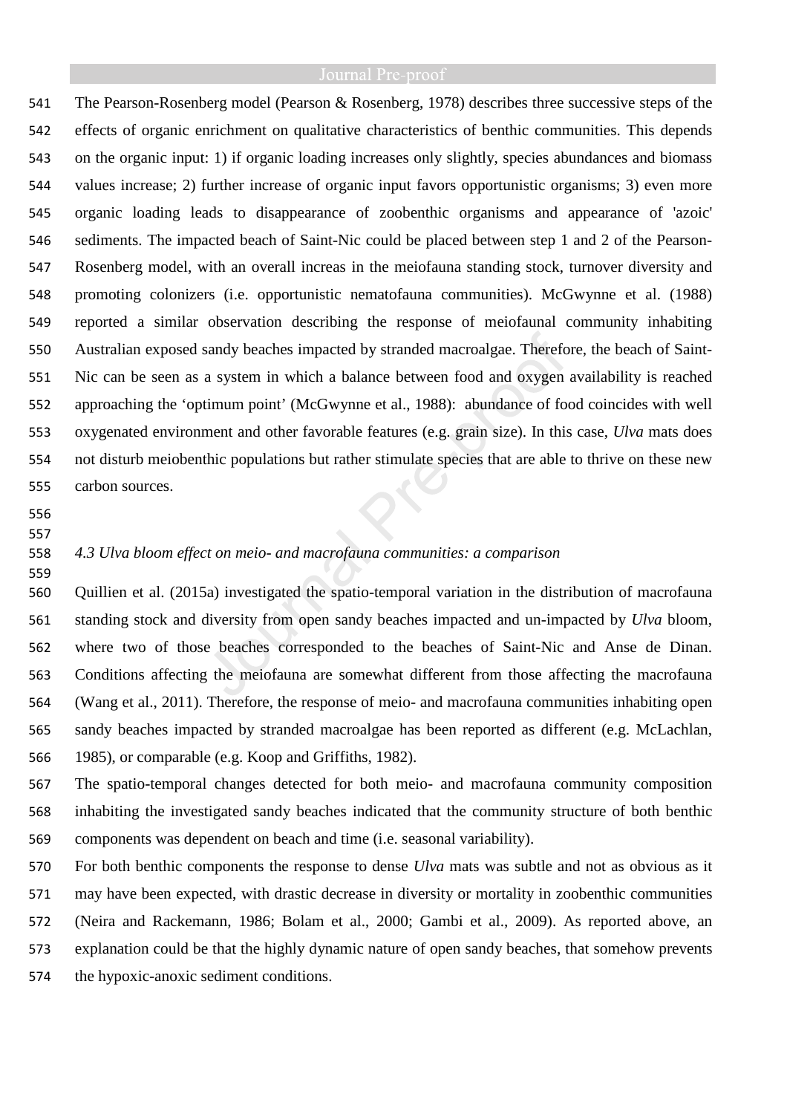The Pearson-Rosenberg model (Pearson & Rosenberg, 1978) describes three successive steps of the effects of organic enrichment on qualitative characteristics of benthic communities. This depends on the organic input: 1) if organic loading increases only slightly, species abundances and biomass values increase; 2) further increase of organic input favors opportunistic organisms; 3) even more organic loading leads to disappearance of zoobenthic organisms and appearance of 'azoic' sediments. The impacted beach of Saint-Nic could be placed between step 1 and 2 of the Pearson-Rosenberg model, with an overall increas in the meiofauna standing stock, turnover diversity and promoting colonizers (i.e. opportunistic nematofauna communities). McGwynne et al. (1988) reported a similar observation describing the response of meiofaunal community inhabiting Australian exposed sandy beaches impacted by stranded macroalgae. Therefore, the beach of Saint-Nic can be seen as a system in which a balance between food and oxygen availability is reached approaching the 'optimum point' (McGwynne et al., 1988): abundance of food coincides with well oxygenated environment and other favorable features (e.g. grain size). In this case, *Ulva* mats does not disturb meiobenthic populations but rather stimulate species that are able to thrive on these new carbon sources.

- 
- 

# *4.3 Ulva bloom effect on meio- and macrofauna communities: a comparison*

Quillien et al. (2015a) investigated the spatio-temporal variation in the distribution of macrofauna standing stock and diversity from open sandy beaches impacted and un-impacted by *Ulva* bloom, where two of those beaches corresponded to the beaches of Saint-Nic and Anse de Dinan. Conditions affecting the meiofauna are somewhat different from those affecting the macrofauna (Wang et al., 2011). Therefore, the response of meio- and macrofauna communities inhabiting open sandy beaches impacted by stranded macroalgae has been reported as different (e.g. McLachlan, 1985), or comparable (e.g. Koop and Griffiths, 1982).

The spatio-temporal changes detected for both meio- and macrofauna community composition inhabiting the investigated sandy beaches indicated that the community structure of both benthic components was dependent on beach and time (i.e. seasonal variability).

For both benthic components the response to dense *Ulva* mats was subtle and not as obvious as it may have been expected, with drastic decrease in diversity or mortality in zoobenthic communities (Neira and Rackemann, 1986; Bolam et al., 2000; Gambi et al., 2009). As reported above, an explanation could be that the highly dynamic nature of open sandy beaches, that somehow prevents the hypoxic-anoxic sediment conditions.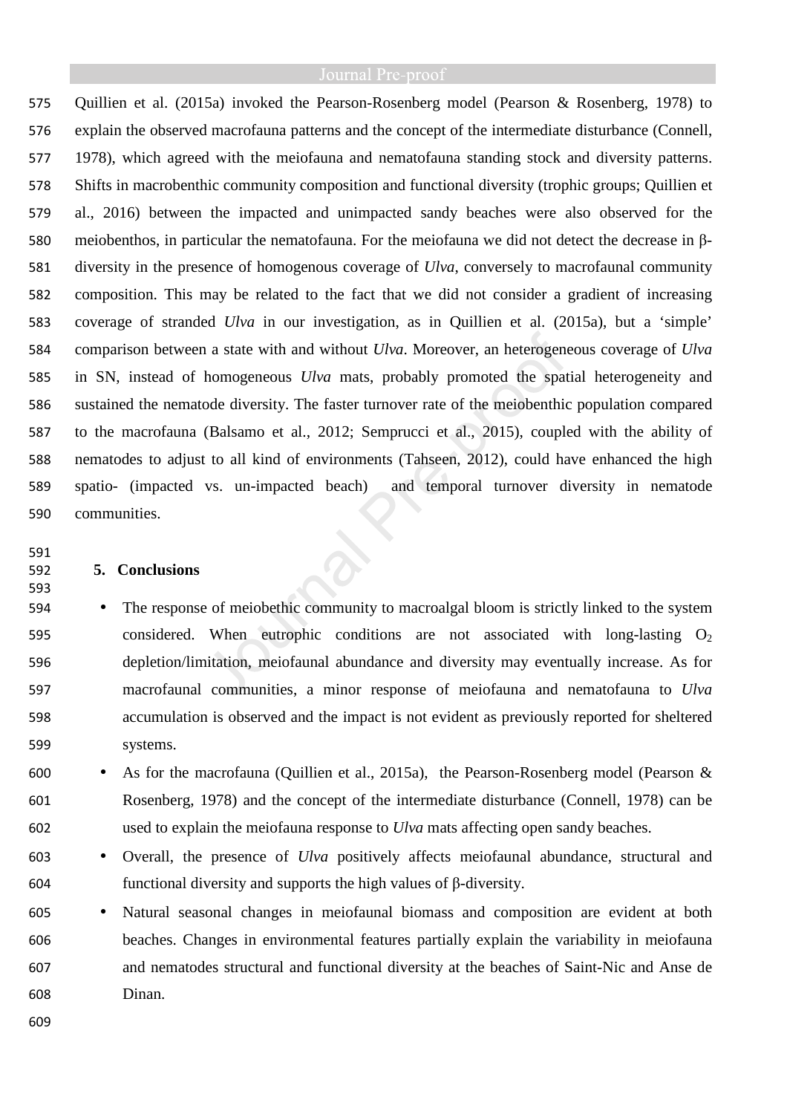Quillien et al. (2015a) invoked the Pearson-Rosenberg model (Pearson & Rosenberg, 1978) to explain the observed macrofauna patterns and the concept of the intermediate disturbance (Connell, 1978), which agreed with the meiofauna and nematofauna standing stock and diversity patterns. Shifts in macrobenthic community composition and functional diversity (trophic groups; Quillien et al., 2016) between the impacted and unimpacted sandy beaches were also observed for the meiobenthos, in particular the nematofauna. For the meiofauna we did not detect the decrease in β-diversity in the presence of homogenous coverage of *Ulva*, conversely to macrofaunal community composition. This may be related to the fact that we did not consider a gradient of increasing coverage of stranded *Ulva* in our investigation, as in Quillien et al. (2015a), but a 'simple' comparison between a state with and without *Ulva*. Moreover, an heterogeneous coverage of *Ulva*  in SN, instead of homogeneous *Ulva* mats, probably promoted the spatial heterogeneity and sustained the nematode diversity. The faster turnover rate of the meiobenthic population compared to the macrofauna (Balsamo et al., 2012; Semprucci et al., 2015), coupled with the ability of nematodes to adjust to all kind of environments (Tahseen, 2012), could have enhanced the high spatio- (impacted vs. un-impacted beach) and temporal turnover diversity in nematode communities.

### **5. Conclusions**

- The response of meiobethic community to macroalgal bloom is strictly linked to the system 595 considered. When eutrophic conditions are not associated with long-lasting  $O_2$ depletion/limitation, meiofaunal abundance and diversity may eventually increase. As for macrofaunal communities, a minor response of meiofauna and nematofauna to *Ulva* accumulation is observed and the impact is not evident as previously reported for sheltered systems.
- As for the macrofauna (Quillien et al., 2015a), the Pearson-Rosenberg model (Pearson & Rosenberg, 1978) and the concept of the intermediate disturbance (Connell, 1978) can be used to explain the meiofauna response to *Ulva* mats affecting open sandy beaches.
- Overall, the presence of *Ulva* positively affects meiofaunal abundance, structural and functional diversity and supports the high values of β-diversity.
- Natural seasonal changes in meiofaunal biomass and composition are evident at both beaches. Changes in environmental features partially explain the variability in meiofauna and nematodes structural and functional diversity at the beaches of Saint-Nic and Anse de Dinan.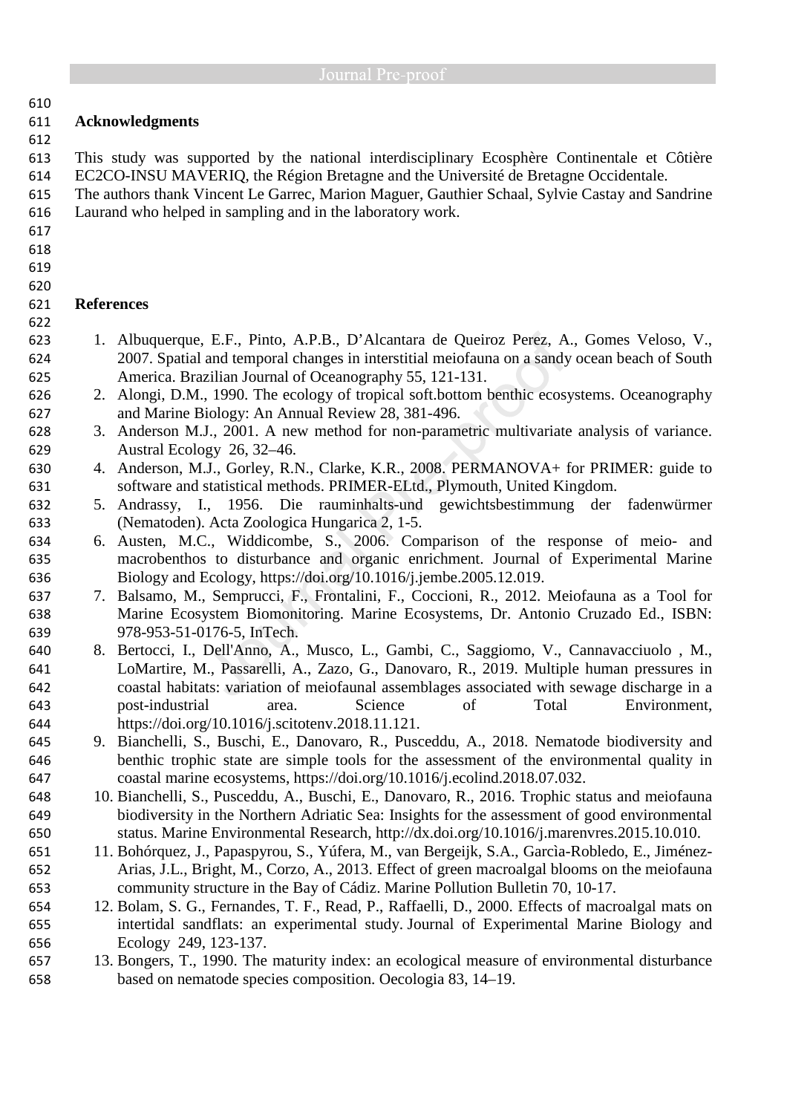# **Acknowledgments**

This study was supported by the national interdisciplinary Ecosphère Continentale et Côtière EC2CO-INSU MAVERIQ, the Région Bretagne and the Université de Bretagne Occidentale.

- The authors thank Vincent Le Garrec, Marion Maguer, Gauthier Schaal, Sylvie Castay and Sandrine
- Laurand who helped in sampling and in the laboratory work.
- 
- 
- 
- 

# **References**

- 1. Albuquerque, E.F., Pinto, A.P.B., D'Alcantara de Queiroz Perez, A., Gomes Veloso, V., 2007. Spatial and temporal changes in interstitial meiofauna on a sandy ocean beach of South America. Brazilian Journal of Oceanography 55, 121-131.
- 2. Alongi, D.M., 1990. The ecology of tropical soft.bottom benthic ecosystems. Oceanography and Marine Biology: An Annual Review 28, 381-496.
- 3. Anderson M.J., 2001. A new method for non-parametric multivariate analysis of variance. Austral Ecology 26, 32–46.
- 4. Anderson, M.J., Gorley, R.N., Clarke, K.R., 2008. PERMANOVA+ for PRIMER: guide to software and statistical methods. PRIMER-ELtd., Plymouth, United Kingdom.
- 5. Andrassy, I., 1956. Die rauminhalts-und gewichtsbestimmung der fadenwürmer (Nematoden). Acta Zoologica Hungarica 2, 1-5.
- 6. Austen, M.C., Widdicombe, S., 2006. Comparison of the response of meio- and macrobenthos to disturbance and organic enrichment. Journal of Experimental Marine Biology and Ecology, https://doi.org/10.1016/j.jembe.2005.12.019.
- 7. Balsamo, M., Semprucci, F., Frontalini, F., Coccioni, R., 2012. Meiofauna as a Tool for Marine Ecosystem Biomonitoring. Marine Ecosystems, Dr. Antonio Cruzado Ed., ISBN: 978-953-51-0176-5, InTech.
- 8. Bertocci, I., Dell'Anno, A., Musco, L., Gambi, C., Saggiomo, V., Cannavacciuolo , M., LoMartire, M., Passarelli, A., Zazo, G., Danovaro, R., 2019. Multiple human pressures in coastal habitats: variation of meiofaunal assemblages associated with sewage discharge in a post-industrial area. Science of Total Environment, https://doi.org/10.1016/j.scitotenv.2018.11.121.
- 9. Bianchelli, S., Buschi, E., Danovaro, R., Pusceddu, A., 2018. Nematode biodiversity and benthic trophic state are simple tools for the assessment of the environmental quality in coastal marine ecosystems, https://doi.org/10.1016/j.ecolind.2018.07.032.
- 10. Bianchelli, S., Pusceddu, A., Buschi, E., Danovaro, R., 2016. Trophic status and meiofauna biodiversity in the Northern Adriatic Sea: Insights for the assessment of good environmental status. Marine Environmental Research, http://dx.doi.org/10.1016/j.marenvres.2015.10.010.
- 11. Bohórquez, J., Papaspyrou, S., Yúfera, M., van Bergeijk, S.A., Garcìa-Robledo, E., Jiménez-Arias, J.L., Bright, M., Corzo, A., 2013. Effect of green macroalgal blooms on the meiofauna community structure in the Bay of Cádiz. Marine Pollution Bulletin 70, 10-17.
- 12. Bolam, S. G., Fernandes, T. F., Read, P., Raffaelli, D., 2000. Effects of macroalgal mats on intertidal sandflats: an experimental study. Journal of Experimental Marine Biology and Ecology 249, 123-137.
- 13. Bongers, T., 1990. The maturity index: an ecological measure of environmental disturbance based on nematode species composition. Oecologia 83, 14–19.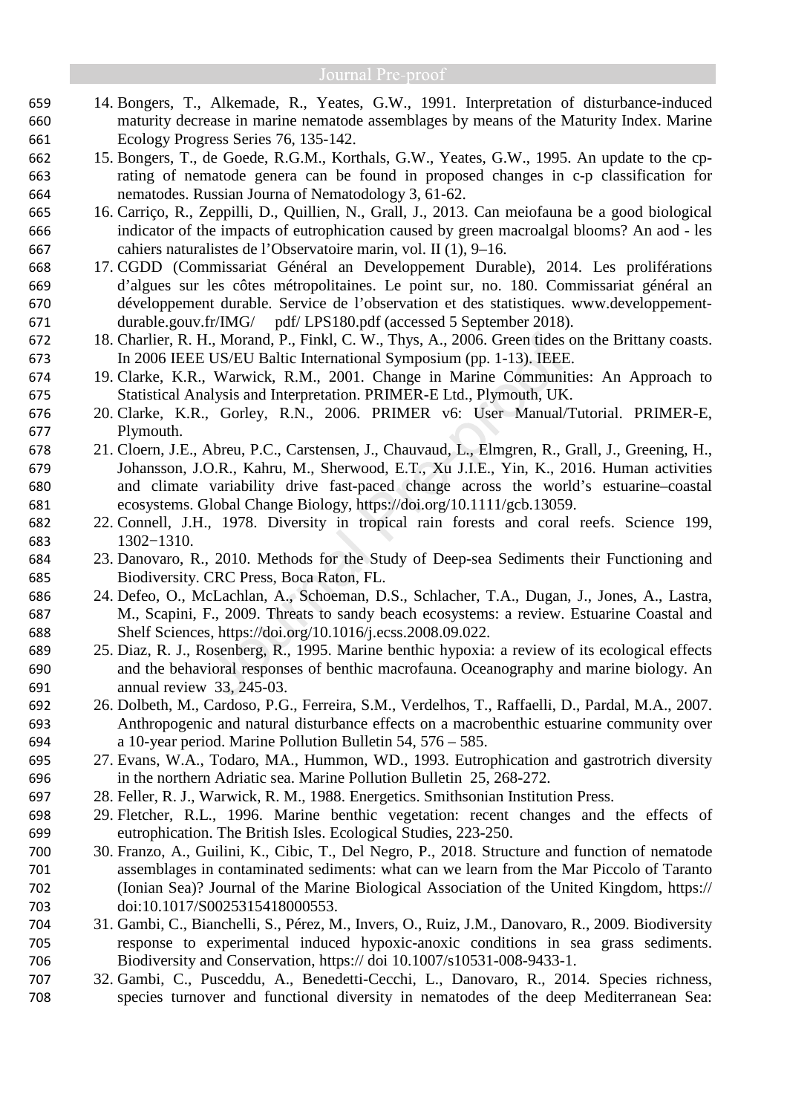- 14. Bongers, T., Alkemade, R., Yeates, G.W., 1991. Interpretation of disturbance-induced maturity decrease in marine nematode assemblages by means of the Maturity Index. Marine Ecology Progress Series 76, 135-142.
- 15. Bongers, T., de Goede, R.G.M., Korthals, G.W., Yeates, G.W., 1995. An update to the cp-rating of nematode genera can be found in proposed changes in c-p classification for nematodes. Russian Journa of Nematodology 3, 61-62.
- 16. Carriço, R., Zeppilli, D., Quillien, N., Grall, J., 2013. Can meiofauna be a good biological indicator of the impacts of eutrophication caused by green macroalgal blooms? An aod - les cahiers naturalistes de l'Observatoire marin, vol. II (1), 9–16.
- 17. CGDD (Commissariat Général an Developpement Durable), 2014. Les proliférations d'algues sur les côtes métropolitaines. Le point sur, no. 180. Commissariat général an développement durable. Service de l'observation et des statistiques. www.developpement-durable.gouv.fr/IMG/ pdf/ LPS180.pdf (accessed 5 September 2018).
- 18. Charlier, R. H., Morand, P., Finkl, C. W., Thys, A., 2006. Green tides on the Brittany coasts. In 2006 IEEE US/EU Baltic International Symposium (pp. 1-13). IEEE.
- 19. Clarke, K.R., Warwick, R.M., 2001. Change in Marine Communities: An Approach to Statistical Analysis and Interpretation. PRIMER-E Ltd., Plymouth, UK.
- 20. Clarke, K.R., Gorley, R.N., 2006. PRIMER v6: User Manual/Tutorial. PRIMER-E, Plymouth.
- 21. Cloern, J.E., Abreu, P.C., Carstensen, J., Chauvaud, L., Elmgren, R., Grall, J., Greening, H., Johansson, J.O.R., Kahru, M., Sherwood, E.T., Xu J.I.E., Yin, K., 2016. Human activities and climate variability drive fast-paced change across the world's estuarine–coastal ecosystems. Global Change Biology, https://doi.org/10.1111/gcb.13059.
- 22. Connell, J.H., 1978. Diversity in tropical rain forests and coral reefs. Science 199, 1302−1310.
- 23. Danovaro, R., 2010. Methods for the Study of Deep-sea Sediments their Functioning and Biodiversity. CRC Press, Boca Raton, FL.
- 24. Defeo, O., McLachlan, A., Schoeman, D.S., Schlacher, T.A., Dugan, J., Jones, A., Lastra, M., Scapini, F., 2009. Threats to sandy beach ecosystems: a review. Estuarine Coastal and Shelf Sciences, https://doi.org/10.1016/j.ecss.2008.09.022.
- 25. Diaz, R. J., Rosenberg, R., 1995. Marine benthic hypoxia: a review of its ecological effects and the behavioral responses of benthic macrofauna. Oceanography and marine biology. An annual review 33, 245-03.
- 26. Dolbeth, M., Cardoso, P.G., Ferreira, S.M., Verdelhos, T., Raffaelli, D., Pardal, M.A., 2007. Anthropogenic and natural disturbance effects on a macrobenthic estuarine community over a 10-year period. Marine Pollution Bulletin 54, 576 – 585.
- 27. Evans, W.A., Todaro, MA., Hummon, WD., 1993. Eutrophication and gastrotrich diversity in the northern Adriatic sea. Marine Pollution Bulletin 25, 268-272.
- 28. Feller, R. J., Warwick, R. M., 1988. Energetics. Smithsonian Institution Press.
- 29. Fletcher, R.L., 1996. Marine benthic vegetation: recent changes and the effects of eutrophication. The British Isles. Ecological Studies, 223-250.
- 30. Franzo, A., Guilini, K., Cibic, T., Del Negro, P., 2018. Structure and function of nematode assemblages in contaminated sediments: what can we learn from the Mar Piccolo of Taranto (Ionian Sea)? Journal of the Marine Biological Association of the United Kingdom, https:// doi:10.1017/S0025315418000553.
- 31. Gambi, C., Bianchelli, S., Pérez, M., Invers, O., Ruiz, J.M., Danovaro, R., 2009. Biodiversity response to experimental induced hypoxic-anoxic conditions in sea grass sediments. Biodiversity and Conservation, https:// doi 10.1007/s10531-008-9433-1.
- 32. Gambi, C., Pusceddu, A., Benedetti-Cecchi, L., Danovaro, R., 2014. Species richness, species turnover and functional diversity in nematodes of the deep Mediterranean Sea: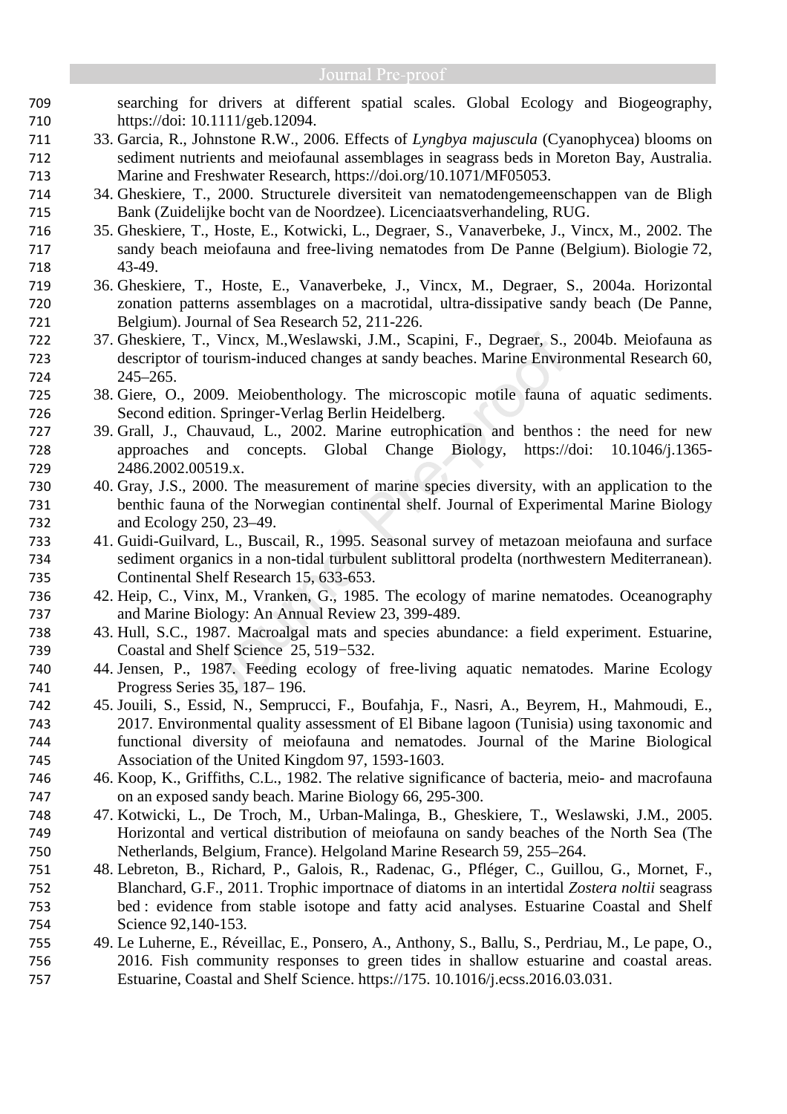- searching for drivers at different spatial scales. Global Ecology and Biogeography, https://doi: 10.1111/geb.12094.
- 33. Garcia, R., Johnstone R.W., 2006. Effects of *Lyngbya majuscula* (Cyanophycea) blooms on sediment nutrients and meiofaunal assemblages in seagrass beds in Moreton Bay, Australia. Marine and Freshwater Research, https://doi.org/10.1071/MF05053.
- 34. Gheskiere, T., 2000. Structurele diversiteit van nematodengemeenschappen van de Bligh Bank (Zuidelijke bocht van de Noordzee). Licenciaatsverhandeling, RUG.
- 35. Gheskiere, T., Hoste, E., Kotwicki, L., Degraer, S., Vanaverbeke, J., Vincx, M., 2002. The sandy beach meiofauna and free-living nematodes from De Panne (Belgium). Biologie 72, 43-49.
- 36. Gheskiere, T., Hoste, E., Vanaverbeke, J., Vincx, M., Degraer, S., 2004a. Horizontal zonation patterns assemblages on a macrotidal, ultra-dissipative sandy beach (De Panne, Belgium). Journal of Sea Research 52, 211-226.
- 37. Gheskiere, T., Vincx, M.,Weslawski, J.M., Scapini, F., Degraer, S., 2004b. Meiofauna as descriptor of tourism-induced changes at sandy beaches. Marine Environmental Research 60, 245–265.
- 38. Giere, O., 2009. Meiobenthology. The microscopic motile fauna of aquatic sediments. Second edition. Springer-Verlag Berlin Heidelberg.
- 39. Grall, J., Chauvaud, L., 2002. Marine eutrophication and benthos : the need for new approaches and concepts. Global Change Biology, https://doi: 10.1046/j.1365- 2486.2002.00519.x.
- 40. Gray, J.S., 2000. The measurement of marine species diversity, with an application to the benthic fauna of the Norwegian continental shelf. Journal of Experimental Marine Biology and Ecology 250, 23–49.
- 41. Guidi-Guilvard, L., Buscail, R., 1995. Seasonal survey of metazoan meiofauna and surface sediment organics in a non-tidal turbulent sublittoral prodelta (northwestern Mediterranean). Continental Shelf Research 15, 633-653.
- 42. Heip, C., Vinx, M., Vranken, G., 1985. The ecology of marine nematodes. Oceanography and Marine Biology: An Annual Review 23, 399-489.
- 43. Hull, S.C., 1987. Macroalgal mats and species abundance: a field experiment. Estuarine, Coastal and Shelf Science 25, 519−532.
- 44. Jensen, P., 1987. Feeding ecology of free-living aquatic nematodes. Marine Ecology Progress Series 35, 187– 196.
- 45. Jouili, S., Essid, N., Semprucci, F., Boufahja, F., Nasri, A., Beyrem, H., Mahmoudi, E., 2017. Environmental quality assessment of El Bibane lagoon (Tunisia) using taxonomic and functional diversity of meiofauna and nematodes. Journal of the Marine Biological Association of the United Kingdom 97, 1593-1603.
- 46. Koop, K., Griffiths, C.L., 1982. The relative significance of bacteria, meio- and macrofauna on an exposed sandy beach. Marine Biology 66, 295-300.
- 47. Kotwicki, L., De Troch, M., Urban-Malinga, B., Gheskiere, T., Weslawski, J.M., 2005. Horizontal and vertical distribution of meiofauna on sandy beaches of the North Sea (The Netherlands, Belgium, France). Helgoland Marine Research 59, 255–264.
- 48. Lebreton, B., Richard, P., Galois, R., Radenac, G., Pfléger, C., Guillou, G., Mornet, F., Blanchard, G.F., 2011. Trophic importnace of diatoms in an intertidal *Zostera noltii* seagrass bed : evidence from stable isotope and fatty acid analyses. Estuarine Coastal and Shelf Science 92,140-153.
- 49. Le Luherne, E., Réveillac, E., Ponsero, A., Anthony, S., Ballu, S., Perdriau, M., Le pape, O., 2016. Fish community responses to green tides in shallow estuarine and coastal areas. Estuarine, Coastal and Shelf Science. https://175. 10.1016/j.ecss.2016.03.031.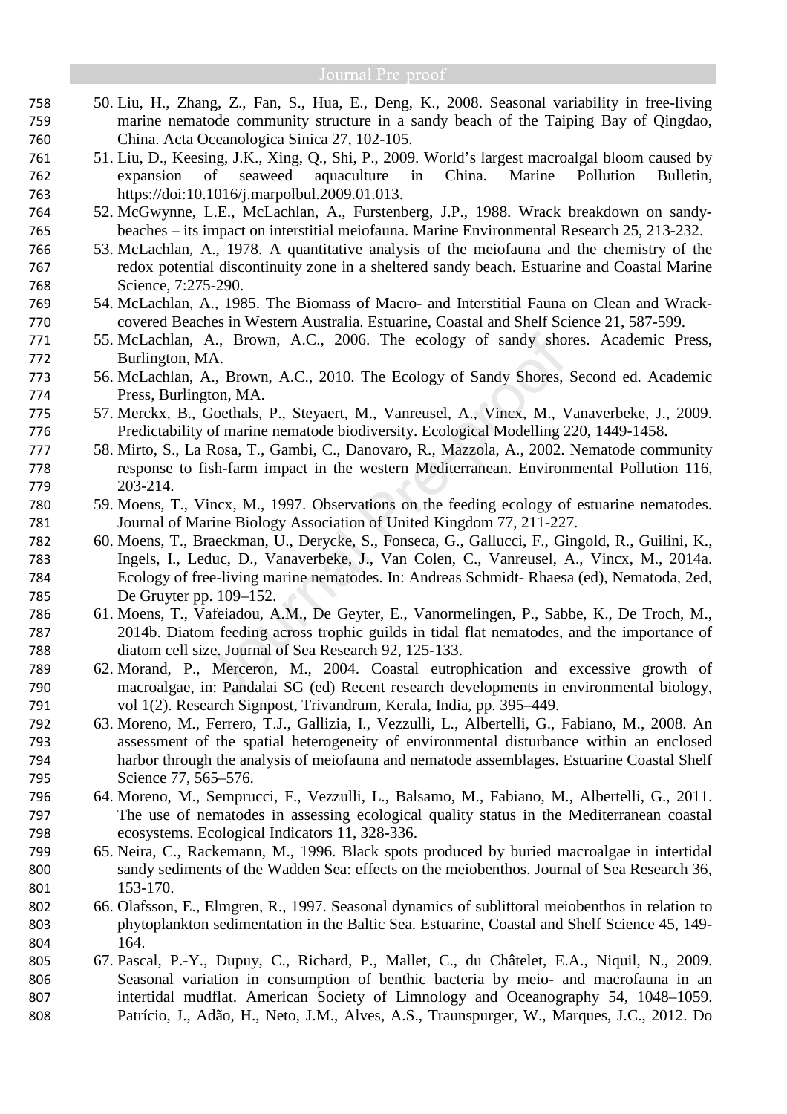- 50. Liu, H., Zhang, Z., Fan, S., Hua, E., Deng, K., 2008. Seasonal variability in free-living marine nematode community structure in a sandy beach of the Taiping Bay of Qingdao, China. Acta Oceanologica Sinica 27, 102-105.
- 51. Liu, D., Keesing, J.K., Xing, Q., Shi, P., 2009. World's largest macroalgal bloom caused by expansion of seaweed aquaculture in China. Marine Pollution Bulletin, https://doi:10.1016/j.marpolbul.2009.01.013.
- 52. McGwynne, L.E., McLachlan, A., Furstenberg, J.P., 1988. Wrack breakdown on sandy-beaches – its impact on interstitial meiofauna. Marine Environmental Research 25, 213-232.
- 53. McLachlan, A., 1978. A quantitative analysis of the meiofauna and the chemistry of the redox potential discontinuity zone in a sheltered sandy beach. Estuarine and Coastal Marine Science, 7:275-290.
- 54. McLachlan, A., 1985. The Biomass of Macro- and Interstitial Fauna on Clean and Wrack-covered Beaches in Western Australia. Estuarine, Coastal and Shelf Science 21, 587-599.
- 55. McLachlan, A., Brown, A.C., 2006. The ecology of sandy shores. Academic Press, Burlington, MA.
- 56. McLachlan, A., Brown, A.C., 2010. The Ecology of Sandy Shores, Second ed. Academic Press, Burlington, MA.
- 57. Merckx, B., Goethals, P., Steyaert, M., Vanreusel, A., Vincx, M., Vanaverbeke, J., 2009. Predictability of marine nematode biodiversity. Ecological Modelling 220, 1449-1458.
- 58. Mirto, S., La Rosa, T., Gambi, C., Danovaro, R., Mazzola, A., 2002. Nematode community response to fish-farm impact in the western Mediterranean. Environmental Pollution 116, 203-214.
- 59. Moens, T., Vincx, M., 1997. Observations on the feeding ecology of estuarine nematodes. Journal of Marine Biology Association of United Kingdom 77, 211-227.
- 60. Moens, T., Braeckman, U., Derycke, S., Fonseca, G., Gallucci, F., Gingold, R., Guilini, K., Ingels, I., Leduc, D., Vanaverbeke, J., Van Colen, C., Vanreusel, A., Vincx, M., 2014a. Ecology of free-living marine nematodes. In: Andreas Schmidt- Rhaesa (ed), Nematoda, 2ed, De Gruyter pp. 109–152.
- 61. Moens, T., Vafeiadou, A.M., De Geyter, E., Vanormelingen, P., Sabbe, K., De Troch, M., 2014b. Diatom feeding across trophic guilds in tidal flat nematodes, and the importance of diatom cell size. Journal of Sea Research 92, 125-133.
- 62. Morand, P., Merceron, M., 2004. Coastal eutrophication and excessive growth of macroalgae, in: Pandalai SG (ed) Recent research developments in environmental biology, vol 1(2). Research Signpost, Trivandrum, Kerala, India, pp. 395–449.
- 63. Moreno, M., Ferrero, T.J., Gallizia, I., Vezzulli, L., Albertelli, G., Fabiano, M., 2008. An assessment of the spatial heterogeneity of environmental disturbance within an enclosed harbor through the analysis of meiofauna and nematode assemblages. Estuarine Coastal Shelf 795 Science 77, 565–576.
- 64. Moreno, M., Semprucci, F., Vezzulli, L., Balsamo, M., Fabiano, M., Albertelli, G., 2011. The use of nematodes in assessing ecological quality status in the Mediterranean coastal ecosystems. Ecological Indicators 11, 328-336.
- 65. Neira, C., Rackemann, M., 1996. Black spots produced by buried macroalgae in intertidal sandy sediments of the Wadden Sea: effects on the meiobenthos. Journal of Sea Research 36, 153-170.
- 66. Olafsson, E., Elmgren, R., 1997. Seasonal dynamics of sublittoral meiobenthos in relation to phytoplankton sedimentation in the Baltic Sea. Estuarine, Coastal and Shelf Science 45, 149- 164.
- 67. Pascal, P.-Y., Dupuy, C., Richard, P., Mallet, C., du Châtelet, E.A., Niquil, N., 2009. Seasonal variation in consumption of benthic bacteria by meio- and macrofauna in an intertidal mudflat. American Society of Limnology and Oceanography 54, 1048–1059. Patrício, J., Adão, H., Neto, J.M., Alves, A.S., Traunspurger, W., Marques, J.C., 2012. Do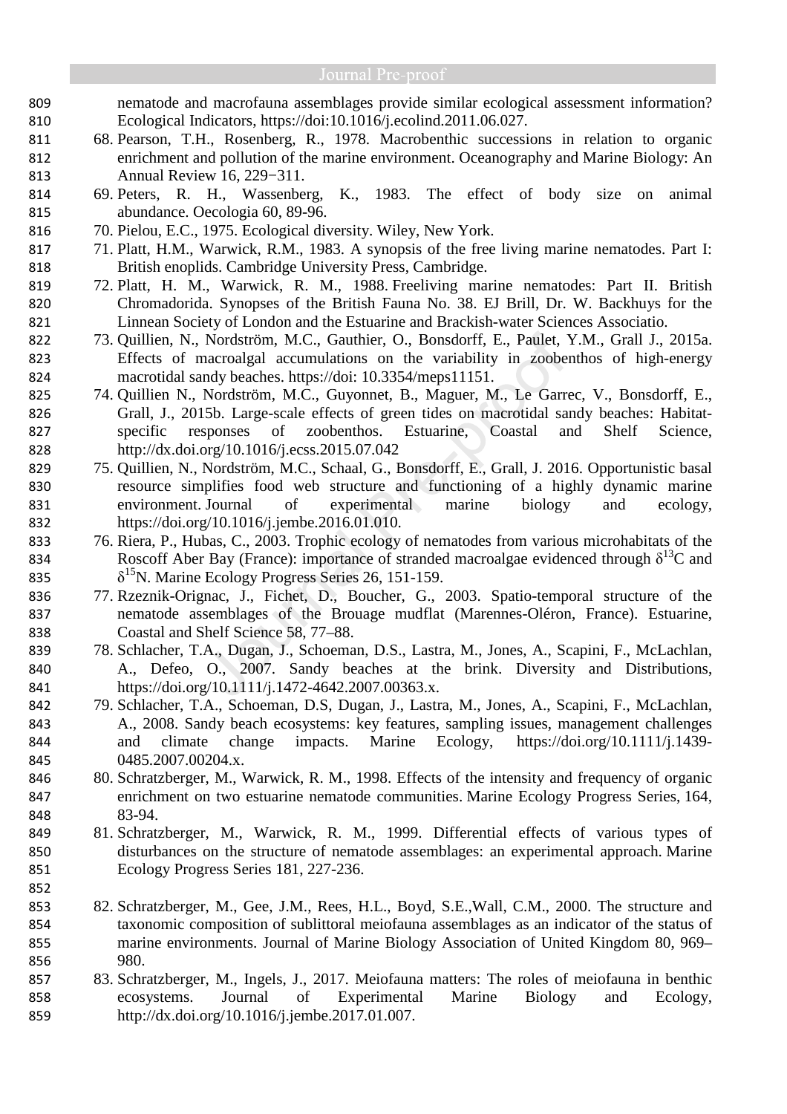- nematode and macrofauna assemblages provide similar ecological assessment information? Ecological Indicators, https://doi:10.1016/j.ecolind.2011.06.027.
- 68. Pearson, T.H., Rosenberg, R., 1978. Macrobenthic successions in relation to organic enrichment and pollution of the marine environment. Oceanography and Marine Biology: An Annual Review 16, 229−311.
- 69. Peters, R. H., Wassenberg, K., 1983. The effect of body size on animal abundance. Oecologia 60, 89-96.
- 70. Pielou, E.C., 1975. Ecological diversity. Wiley, New York.
- 71. Platt, H.M., Warwick, R.M., 1983. A synopsis of the free living marine nematodes. Part I: British enoplids. Cambridge University Press, Cambridge.
- 72. Platt, H. M., Warwick, R. M., 1988. Freeliving marine nematodes: Part II. British Chromadorida. Synopses of the British Fauna No. 38. EJ Brill, Dr. W. Backhuys for the Linnean Society of London and the Estuarine and Brackish-water Sciences Associatio.
- 73. Quillien, N., Nordström, M.C., Gauthier, O., Bonsdorff, E., Paulet, Y.M., Grall J., 2015a. Effects of macroalgal accumulations on the variability in zoobenthos of high-energy macrotidal sandy beaches. https://doi: 10.3354/meps11151.
- 74. Quillien N., Nordström, M.C., Guyonnet, B., Maguer, M., Le Garrec, V., Bonsdorff, E., Grall, J., 2015b. Large-scale effects of green tides on macrotidal sandy beaches: Habitat-specific responses of zoobenthos. Estuarine, Coastal and Shelf Science, http://dx.doi.org/10.1016/j.ecss.2015.07.042
- 75. Quillien, N., Nordström, M.C., Schaal, G., Bonsdorff, E., Grall, J. 2016. Opportunistic basal resource simplifies food web structure and functioning of a highly dynamic marine environment. Journal of experimental marine biology and ecology, https://doi.org/10.1016/j.jembe.2016.01.010.
- 76. Riera, P., Hubas, C., 2003. Trophic ecology of nematodes from various microhabitats of the 834 Roscoff Aber Bay (France): importance of stranded macroalgae evidenced through  $\delta^{13}C$  and 835  $\delta^{15}$ N. Marine Ecology Progress Series 26, 151-159.
- 77. Rzeznik-Orignac, J., Fichet, D., Boucher, G., 2003. Spatio-temporal structure of the nematode assemblages of the Brouage mudflat (Marennes-Oléron, France). Estuarine, Coastal and Shelf Science 58, 77–88.
- 78. Schlacher, T.A., Dugan, J., Schoeman, D.S., Lastra, M., Jones, A., Scapini, F., McLachlan, A., Defeo, O., 2007. Sandy beaches at the brink. Diversity and Distributions, 841 https://doi.org/10.1111/j.1472-4642.2007.00363.x.
- 79. Schlacher, T.A., Schoeman, D.S, Dugan, J., Lastra, M., Jones, A., Scapini, F., McLachlan, A., 2008. Sandy beach ecosystems: key features, sampling issues, management challenges and climate change impacts. Marine Ecology, https://doi.org/10.1111/j.1439- 0485.2007.00204.x.
- 80. Schratzberger, M., Warwick, R. M., 1998. Effects of the intensity and frequency of organic enrichment on two estuarine nematode communities. Marine Ecology Progress Series, 164, 83-94.
- 81. Schratzberger, M., Warwick, R. M., 1999. Differential effects of various types of disturbances on the structure of nematode assemblages: an experimental approach. Marine Ecology Progress Series 181, 227-236.

- 82. Schratzberger, M., Gee, J.M., Rees, H.L., Boyd, S.E.,Wall, C.M., 2000. The structure and taxonomic composition of sublittoral meiofauna assemblages as an indicator of the status of marine environments. Journal of Marine Biology Association of United Kingdom 80, 969– 980.
- 83. Schratzberger, M., Ingels, J., 2017. Meiofauna matters: The roles of meiofauna in benthic ecosystems. Journal of Experimental Marine Biology and Ecology, http://dx.doi.org/10.1016/j.jembe.2017.01.007.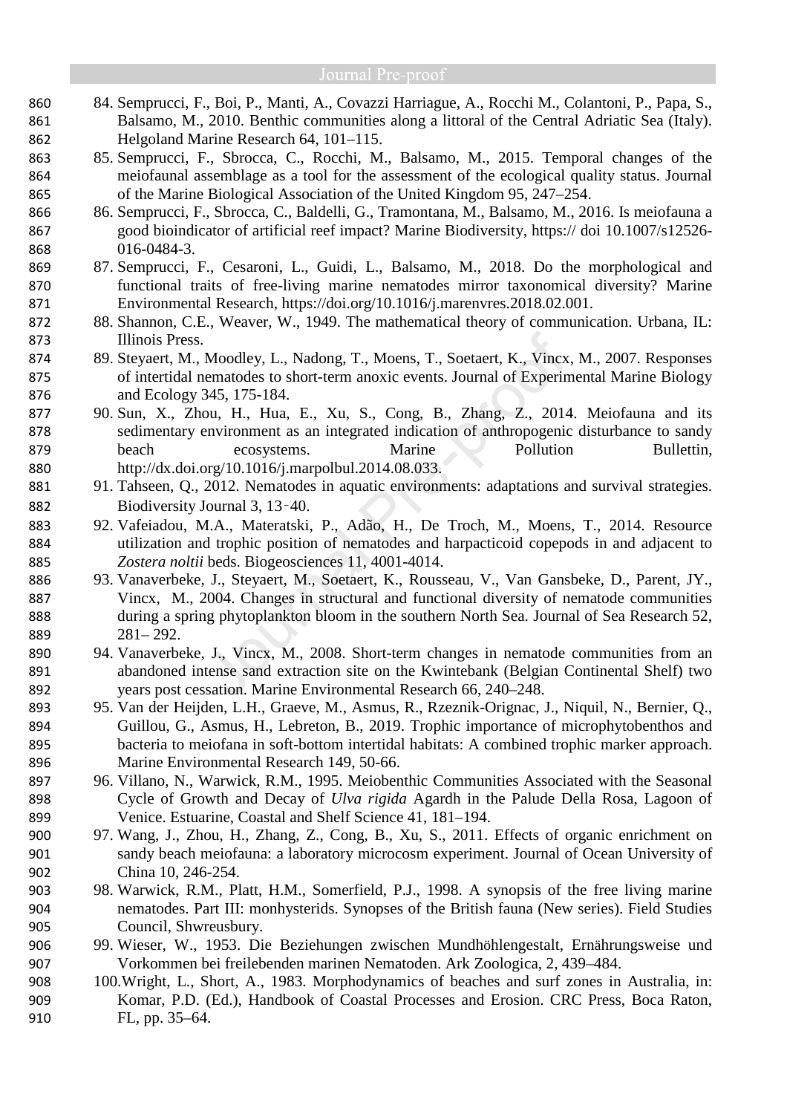- 84. Semprucci, F., Boi, P., Manti, A., Covazzi Harriague, A., Rocchi M., Colantoni, P., Papa, S., Balsamo, M., 2010. Benthic communities along a littoral of the Central Adriatic Sea (Italy). Helgoland Marine Research 64, 101–115.
- 85. Semprucci, F., Sbrocca, C., Rocchi, M., Balsamo, M., 2015. Temporal changes of the meiofaunal assemblage as a tool for the assessment of the ecological quality status. Journal of the Marine Biological Association of the United Kingdom 95, 247–254.
- 86. Semprucci, F., Sbrocca, C., Baldelli, G., Tramontana, M., Balsamo, M., 2016. Is meiofauna a good bioindicator of artificial reef impact? Marine Biodiversity, https:// doi 10.1007/s12526- 016-0484-3.
- 87. Semprucci, F., Cesaroni, L., Guidi, L., Balsamo, M., 2018. Do the morphological and functional traits of free-living marine nematodes mirror taxonomical diversity? Marine Environmental Research, https://doi.org/10.1016/j.marenvres.2018.02.001.
- 872 88. Shannon, C.E., Weaver, W., 1949. The mathematical theory of communication. Urbana, IL: Illinois Press.
- 89. Steyaert, M., Moodley, L., Nadong, T., Moens, T., Soetaert, K., Vincx, M., 2007. Responses of intertidal nematodes to short-term anoxic events. Journal of Experimental Marine Biology and Ecology 345, 175-184.
- 90. Sun, X., Zhou, H., Hua, E., Xu, S., Cong, B., Zhang, Z., 2014. Meiofauna and its sedimentary environment as an integrated indication of anthropogenic disturbance to sandy 879 beach ecosystems. Marine Pollution Bullettin, http://dx.doi.org/10.1016/j.marpolbul.2014.08.033.
- 91. Tahseen, Q., 2012. Nematodes in aquatic environments: adaptations and survival strategies. Biodiversity Journal 3, 13–40.
- 92. Vafeiadou, M.A., Materatski, P., Adão, H., De Troch, M., Moens, T., 2014. Resource utilization and trophic position of nematodes and harpacticoid copepods in and adjacent to *Zostera noltii* beds. Biogeosciences 11, 4001-4014.
- 93. Vanaverbeke, J., Steyaert, M., Soetaert, K., Rousseau, V., Van Gansbeke, D., Parent, JY., Vincx, M., 2004. Changes in structural and functional diversity of nematode communities during a spring phytoplankton bloom in the southern North Sea. Journal of Sea Research 52, 281– 292.
- 94. Vanaverbeke, J., Vincx, M., 2008. Short-term changes in nematode communities from an abandoned intense sand extraction site on the Kwintebank (Belgian Continental Shelf) two years post cessation. Marine Environmental Research 66, 240–248.
- 95. Van der Heijden, L.H., Graeve, M., Asmus, R., Rzeznik-Orignac, J., Niquil, N., Bernier, Q., Guillou, G., Asmus, H., Lebreton, B., 2019. Trophic importance of microphytobenthos and bacteria to meiofana in soft-bottom intertidal habitats: A combined trophic marker approach. Marine Environmental Research 149, 50-66.
- 96. Villano, N., Warwick, R.M., 1995. Meiobenthic Communities Associated with the Seasonal Cycle of Growth and Decay of *Ulva rigida* Agardh in the Palude Della Rosa, Lagoon of Venice. Estuarine, Coastal and Shelf Science 41, 181–194.
- 97. Wang, J., Zhou, H., Zhang, Z., Cong, B., Xu, S., 2011. Effects of organic enrichment on sandy beach meiofauna: a laboratory microcosm experiment. Journal of Ocean University of China 10, 246-254.
- 98. Warwick, R.M., Platt, H.M., Somerfield, P.J., 1998. A synopsis of the free living marine nematodes. Part III: monhysterids. Synopses of the British fauna (New series). Field Studies Council, Shwreusbury.
- 99. Wieser, W., 1953. Die Beziehungen zwischen Mundhöhlengestalt, Ernährungsweise und Vorkommen bei freilebenden marinen Nematoden. Ark Zoologica, 2, 439–484.
- 100.Wright, L., Short, A., 1983. Morphodynamics of beaches and surf zones in Australia, in: Komar, P.D. (Ed.), Handbook of Coastal Processes and Erosion. CRC Press, Boca Raton, FL, pp. 35–64.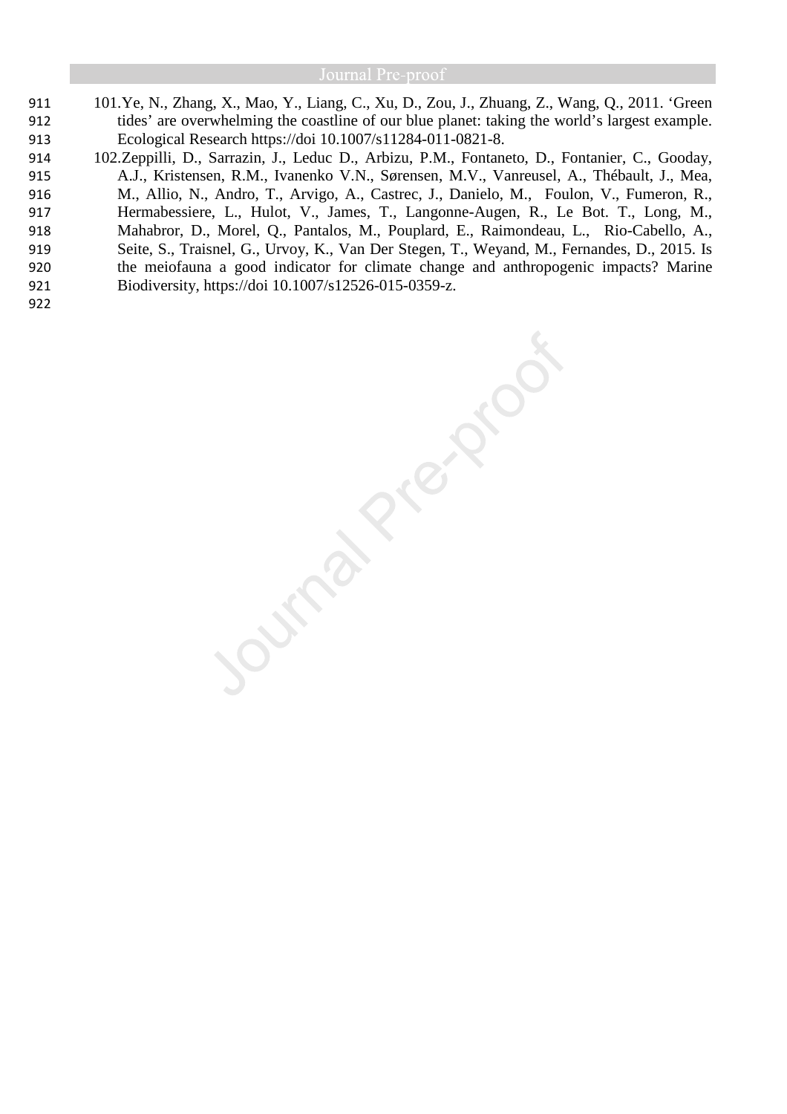- 101.Ye, N., Zhang, X., Mao, Y., Liang, C., Xu, D., Zou, J., Zhuang, Z., Wang, Q., 2011. 'Green tides' are overwhelming the coastline of our blue planet: taking the world's largest example. Ecological Research https://doi 10.1007/s11284-011-0821-8.
- 102.Zeppilli, D., Sarrazin, J., Leduc D., Arbizu, P.M., Fontaneto, D., Fontanier, C., Gooday, A.J., Kristensen, R.M., Ivanenko V.N., Sørensen, M.V., Vanreusel, A., Thébault, J., Mea, M., Allio, N., Andro, T., Arvigo, A., Castrec, J., Danielo, M., Foulon, V., Fumeron, R., Hermabessiere, L., Hulot, V., James, T., Langonne-Augen, R., Le Bot. T., Long, M., Mahabror, D., Morel, Q., Pantalos, M., Pouplard, E., Raimondeau, L., Rio-Cabello, A., Seite, S., Traisnel, G., Urvoy, K., Van Der Stegen, T., Weyand, M., Fernandes, D., 2015. Is the meiofauna a good indicator for climate change and anthropogenic impacts? Marine Biodiversity, https://doi 10.1007/s12526-015-0359-z.
- 

Imaxele Rigo Journal of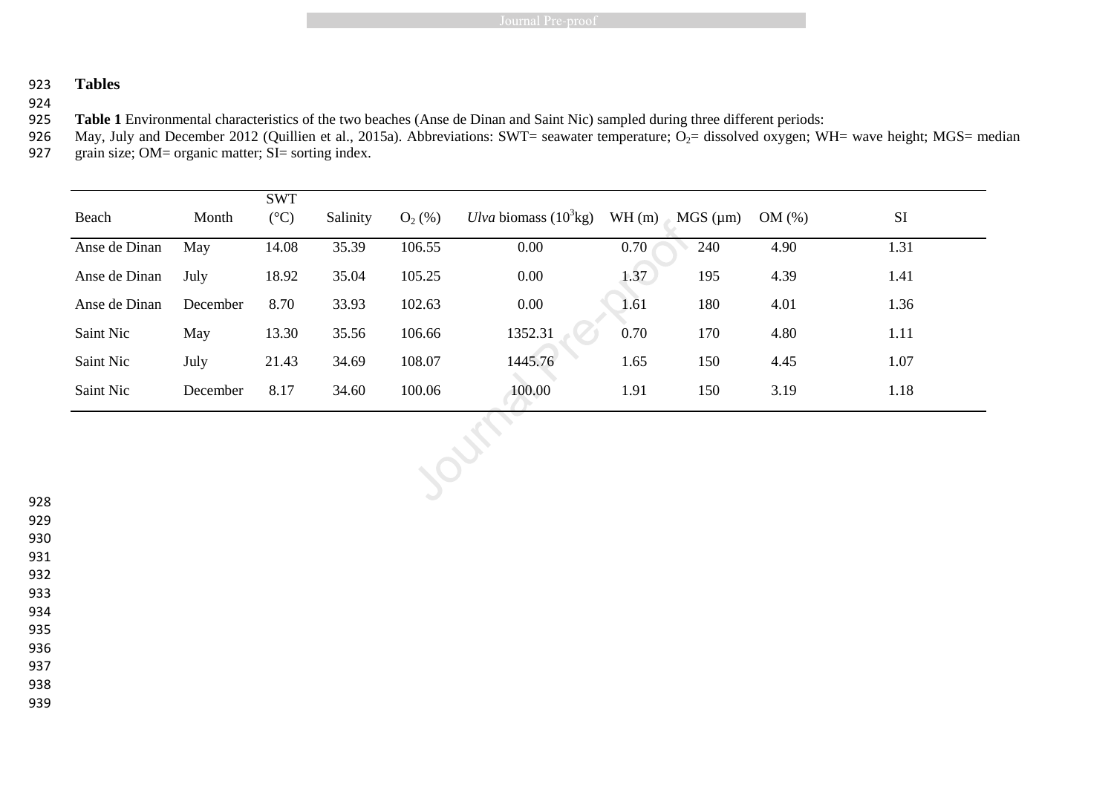# 923 **Tables**

924

925 Table 1 Environmental characteristics of the two beaches (Anse de Dinan and Saint Nic) sampled during three different periods:

926 May, July and December 2012 (Quillien et al., 2015a). Abbreviations: SWT= seawater temperature; O<sub>2</sub>= dissolved oxygen; WH= wave height; MGS= median

927 grain size; OM= organic matter; SI= sorting index.

| Beach         | Month    | <b>SWT</b><br>$({}^{\circ}C)$ | Salinity | $O_2(\%)$ | Ulva biomass $(10^3 \text{kg})$ | WH $(m)$ | $MGS$ ( $\mu$ m) | OM(%) | SI   |
|---------------|----------|-------------------------------|----------|-----------|---------------------------------|----------|------------------|-------|------|
| Anse de Dinan | May      | 14.08                         | 35.39    | 106.55    | 0.00                            | 0.70     | 240              | 4.90  | 1.31 |
| Anse de Dinan | July     | 18.92                         | 35.04    | 105.25    | $0.00\,$                        | 1.37     | 195              | 4.39  | 1.41 |
| Anse de Dinan | December | 8.70                          | 33.93    | 102.63    | $0.00\,$                        | 1.61     | 180              | 4.01  | 1.36 |
| Saint Nic     | May      | 13.30                         | 35.56    | 106.66    | 1352.31                         | 0.70     | 170              | 4.80  | 1.11 |
| Saint Nic     | July     | 21.43                         | 34.69    | 108.07    | 1445.76                         | 1.65     | 150              | 4.45  | 1.07 |
| Saint Nic     | December | 8.17                          | 34.60    | 100.06    | 100.00                          | 1.91     | 150              | 3.19  | 1.18 |
|               |          |                               |          |           |                                 |          |                  |       |      |

928

936

 937 938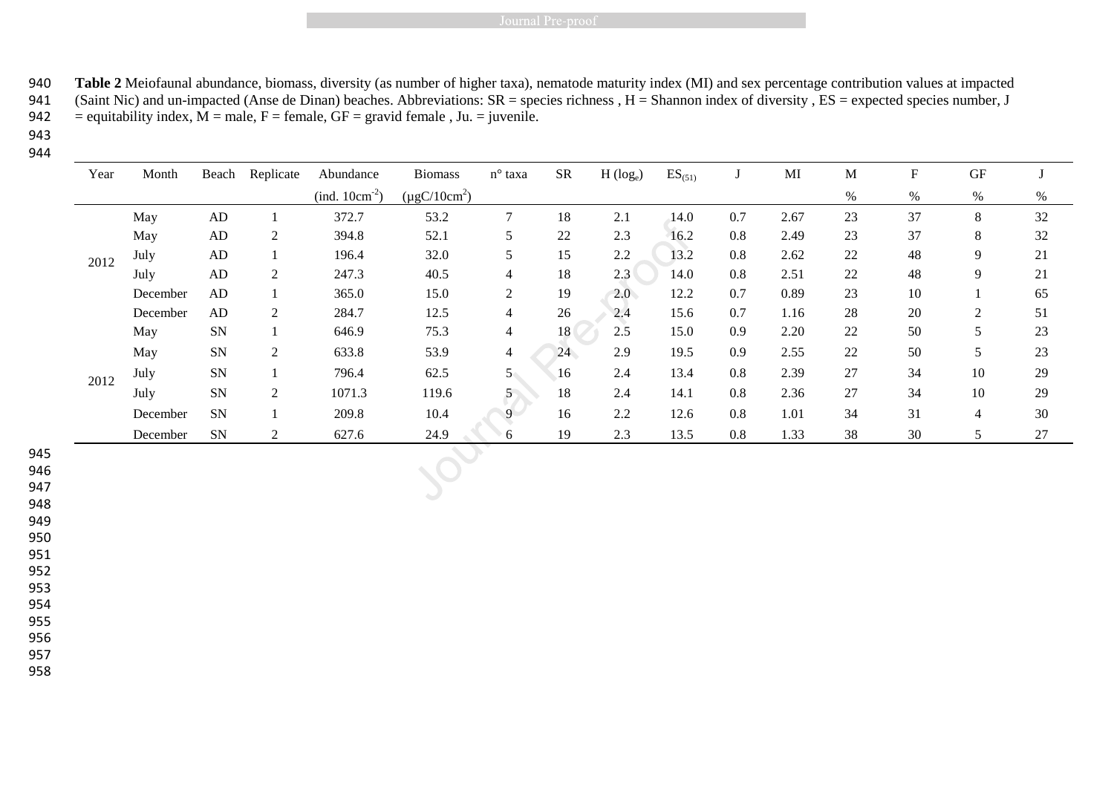940 **Table 2** Meiofaunal abundance, biomass, diversity (as number of higher taxa), nematode maturity index (MI) and sex percentage contribution values at impacted<br>941 (Saint Nic) and un-impacted (Anse de Dinan) beaches. Ab (Saint Nic) and un-impacted (Anse de Dinan) beaches. Abbreviations:  $SR =$  species richness,  $H =$  Shannon index of diversity,  $ES =$  expected species number, J 942 = equitability index,  $\overrightarrow{M}$  = male,  $F$  = female,  $GF$  = gravid female, Ju. = juvenile.

943 944

| Year | Month    | Beach     | Replicate      | Abundance           | <b>Biomass</b>    | $\mathbf{n}^\circ$ taxa | <b>SR</b> | $H (log_e)$ | ES <sub>(51)</sub> |     | MI   | M    | ${\bf F}$ | $\operatorname{GF}$ |      |
|------|----------|-----------|----------------|---------------------|-------------------|-------------------------|-----------|-------------|--------------------|-----|------|------|-----------|---------------------|------|
|      |          |           |                | (ind. $10cm^{-2}$ ) | $(\mu gC/10cm^2)$ |                         |           |             |                    |     |      | $\%$ | %         | %                   | $\%$ |
|      | May      | AD        |                | 372.7               | 53.2              | 7                       | 18        | 2.1         | 14.0               | 0.7 | 2.67 | 23   | 37        | 8                   | 32   |
|      | May      | AD        | 2              | 394.8               | 52.1              | 5                       | 22        | 2.3         | 16.2               | 0.8 | 2.49 | 23   | 37        | 8                   | 32   |
| 2012 | July     | AD        |                | 196.4               | 32.0              | 5                       | 15        | 2.2         | 13.2               | 0.8 | 2.62 | 22   | 48        | 9                   | 21   |
|      | July     | AD        | 2              | 247.3               | 40.5              | $\overline{4}$          | 18        | 2.3         | 14.0               | 0.8 | 2.51 | 22   | 48        | 9                   | 21   |
|      | December | AD        |                | 365.0               | 15.0              | $\overline{2}$          | 19        | 2.0         | 12.2               | 0.7 | 0.89 | 23   | 10        |                     | 65   |
|      | December | AD        | 2              | 284.7               | 12.5              | $\overline{4}$          | 26        | 2.4         | 15.6               | 0.7 | 1.16 | 28   | 20        | 2                   | 51   |
|      | May      | SN        |                | 646.9               | 75.3              | $\overline{4}$          | 18        | 2.5         | 15.0               | 0.9 | 2.20 | 22   | 50        | 5                   | 23   |
|      | May      | SN        | 2              | 633.8               | 53.9              | 4                       | 24        | 2.9         | 19.5               | 0.9 | 2.55 | 22   | 50        | 5                   | 23   |
| 2012 | July     | SN        |                | 796.4               | 62.5              | $5 -$                   | 16        | 2.4         | 13.4               | 0.8 | 2.39 | 27   | 34        | 10                  | 29   |
|      | July     | SN        | $\overline{2}$ | 1071.3              | 119.6             | 5                       | 18        | 2.4         | 14.1               | 0.8 | 2.36 | 27   | 34        | 10                  | 29   |
|      | December | SN        |                | 209.8               | 10.4              | 9                       | 16        | 2.2         | 12.6               | 0.8 | 1.01 | 34   | 31        | $\overline{4}$      | 30   |
|      | December | <b>SN</b> | 2              | 627.6               | 24.9              | 6                       | 19        | 2.3         | 13.5               | 0.8 | 1.33 | 38   | 30        | 5                   | 27   |

 951 952 953

954

955

956

957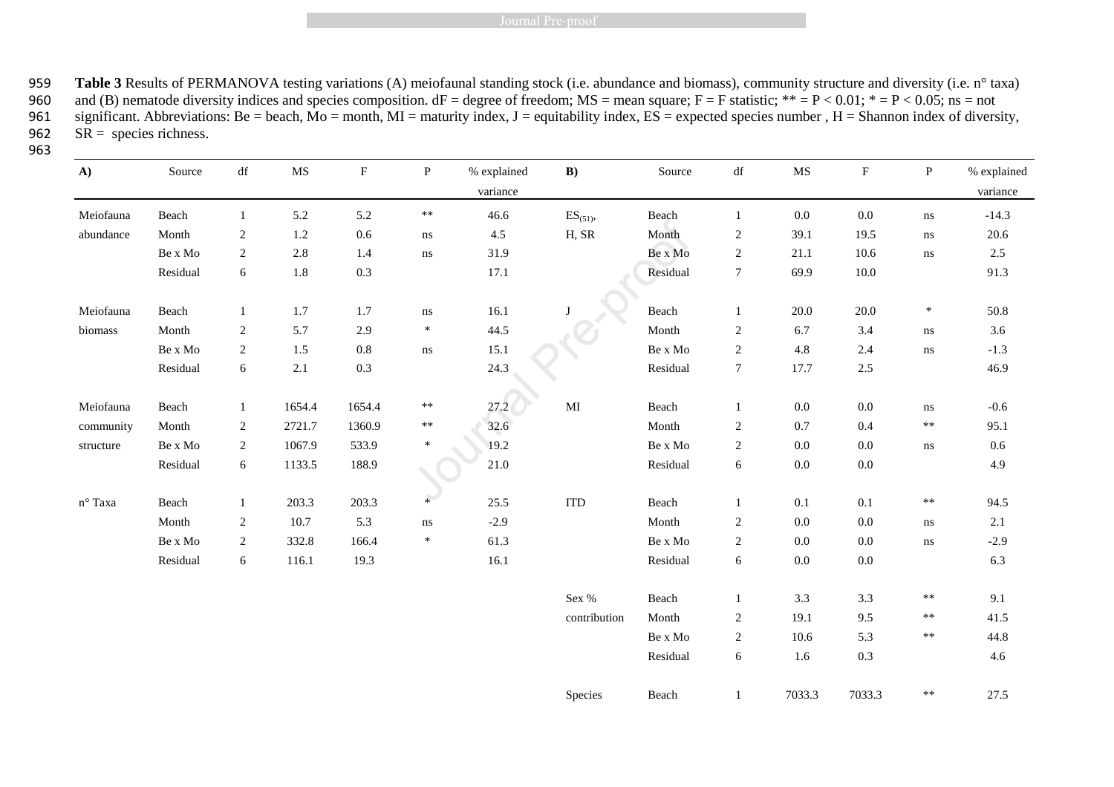959 **Table 3** Results of PERMANOVA testing variations (A) meiofaunal standing stock (i.e. abundance and biomass), community structure and diversity (i.e. n° taxa)<br>960 and (B) nematode diversity indices and species composi and (B) nematode diversity indices and species composition.  $dF = deg$ ree of freedom;  $MS = mean$  square;  $F = F$  statistic;  $** = P < 0.01$ ;  $* = P < 0.05$ ; ns = not 961 significant. Abbreviations: Be = beach, Mo = month, MI = maturity index, J = equitability index, ES = expected species number, H = Shannon index of diversity, 962  $SR =$  species richness.

963

| A)                      | Source        | $\mathrm{d}\mathrm{f}$ | $\mathbf{M}\mathbf{S}$ | ${\bf F}$ | $\, {\bf P}$ | % explained | B)                     | Source        | $\mathrm{d}\mathrm{f}$ | MS      | ${\bf F}$ | ${\bf P}$  | % explained |
|-------------------------|---------------|------------------------|------------------------|-----------|--------------|-------------|------------------------|---------------|------------------------|---------|-----------|------------|-------------|
|                         |               |                        |                        |           |              | variance    |                        |               |                        |         |           |            | variance    |
| Meiofauna               | Beach         | 1                      | 5.2                    | 5.2       | $\ast\ast$   | 46.6        | $ES_{(51)},$           | Beach         |                        | $0.0\,$ | $0.0\,$   | $\rm ns$   | $-14.3$     |
| abundance               | Month         | $\sqrt{2}$             | 1.2                    | 0.6       | $\bf ns$     | 4.5         | H, SR                  | Month         | $\overline{c}$         | 39.1    | 19.5      | $\rm ns$   | 20.6        |
|                         | $\rm Be~x~Mo$ | $\overline{2}$         | 2.8                    | 1.4       | $\bf ns$     | 31.9        |                        | Be x Mo       | $\overline{c}$         | 21.1    | 10.6      | $\bf ns$   | $2.5\,$     |
|                         | Residual      | $\sqrt{6}$             | 1.8                    | 0.3       |              | 17.1        |                        | Residual      | $\tau$                 | 69.9    | 10.0      |            | 91.3        |
| Meiofauna               | Beach         | 1                      | 1.7                    | 1.7       | $\bf ns$     | 16.1        |                        | Beach         |                        | 20.0    | 20.0      | $\ast$     | 50.8        |
| biomass                 | Month         | $\overline{2}$         | 5.7                    | 2.9       | $\ast$       | 44.5        |                        | Month         | $\overline{c}$         | 6.7     | 3.4       | $\bf ns$   | $3.6$       |
|                         | $\rm Be~x~Mo$ | $\sqrt{2}$             | 1.5                    | $0.8\,$   | $\rm ns$     | 15.1        |                        | $\rm Be~x~Mo$ | $\overline{c}$         | 4.8     | 2.4       | $\rm ns$   | $-1.3$      |
|                         | Residual      | $\sqrt{6}$             | 2.1                    | 0.3       |              | 24.3        |                        | Residual      | $7\overline{ }$        | 17.7    | $2.5\,$   |            | 46.9        |
| Meiofauna               | Beach         | 1                      | 1654.4                 | 1654.4    | $***$        | 27.2        | $\mathbf{M}\mathbf{I}$ | Beach         |                        | $0.0\,$ | $0.0\,$   | $\bf ns$   | $-0.6$      |
| community               | Month         | 2                      | 2721.7                 | 1360.9    | $***$        | 32.6        |                        | Month         | $\overline{c}$         | 0.7     | $0.4\,$   | $\ast\ast$ | 95.1        |
| structure               | $\rm Be~x~Mo$ | 2                      | 1067.9                 | 533.9     | $\ast$       | 19.2        |                        | $\rm Be~x~Mo$ | $\overline{c}$         | $0.0\,$ | $0.0\,$   | $\bf ns$   | $0.6\,$     |
|                         | Residual      | 6                      | 1133.5                 | 188.9     |              | 21.0        |                        | Residual      | 6                      | $0.0\,$ | $0.0\,$   |            | 4.9         |
| $\mathbf{n}^\circ$ Taxa | Beach         | 1                      | 203.3                  | 203.3     |              | 25.5        | <b>ITD</b>             | Beach         |                        | 0.1     | $0.1\,$   | $\ast\ast$ | 94.5        |
|                         | Month         | 2                      | 10.7                   | 5.3       | $\bf ns$     | $-2.9$      |                        | Month         | $\overline{c}$         | $0.0\,$ | $0.0\,$   | $\rm ns$   | 2.1         |
|                         | $\rm Be~x~Mo$ | 2                      | 332.8                  | 166.4     | $\ast$       | 61.3        |                        | $\rm Be~x~Mo$ | $\overline{c}$         | $0.0\,$ | $0.0\,$   | $\bf ns$   | $-2.9$      |
|                         | Residual      | $\sqrt{6}$             | 116.1                  | 19.3      |              | 16.1        |                        | Residual      | 6                      | $0.0\,$ | $0.0\,$   |            | 6.3         |
|                         |               |                        |                        |           |              |             | Sex %                  | Beach         | 1                      | 3.3     | 3.3       | $***$      | 9.1         |
|                         |               |                        |                        |           |              |             | contribution           | Month         | $\overline{c}$         | 19.1    | 9.5       | $\ast\ast$ | 41.5        |
|                         |               |                        |                        |           |              |             |                        | $\rm Be~x~Mo$ | $\sqrt{2}$             | 10.6    | 5.3       | $\ast\ast$ | 44.8        |
|                         |               |                        |                        |           |              |             |                        | Residual      | 6                      | 1.6     | $0.3\,$   |            | 4.6         |
|                         |               |                        |                        |           |              |             |                        |               |                        |         |           |            |             |

Species Beach 1 7033.3 7033.3 \*\* 27.5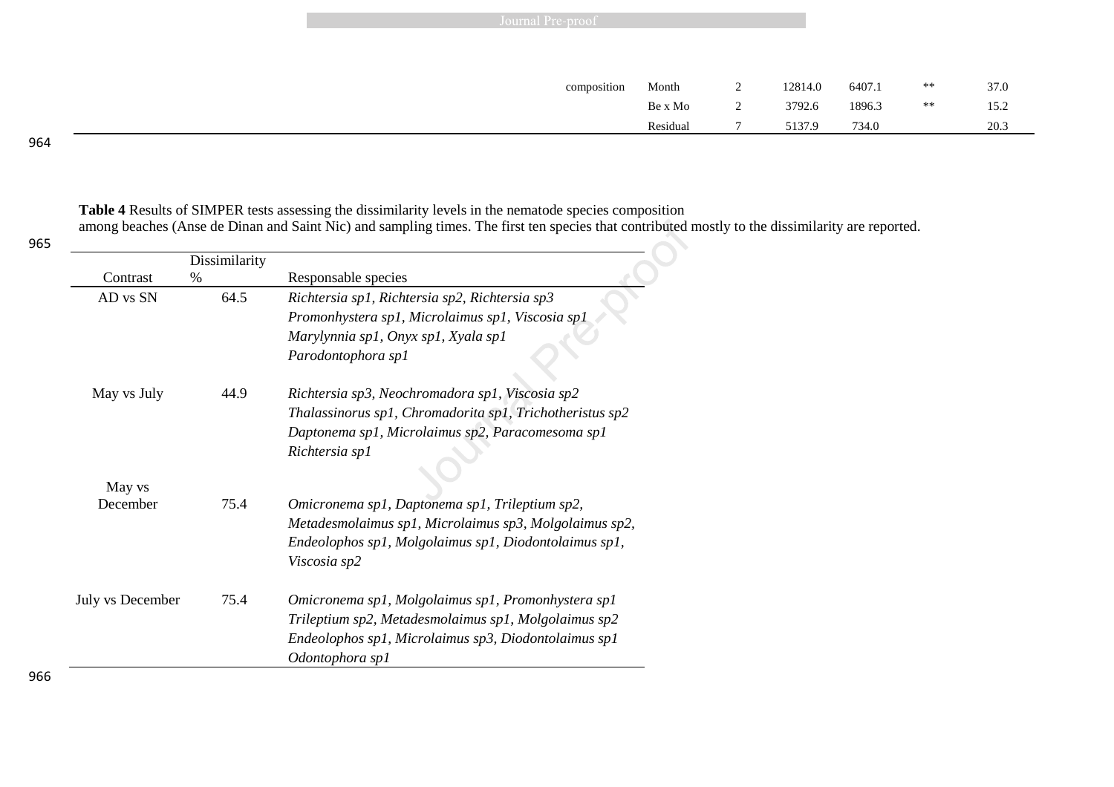| composition | Month    | - | 12814.0 | 6407.1 | ** | 37.0 |
|-------------|----------|---|---------|--------|----|------|
|             | Be x Mo  |   | 3792.6  | 1896.3 | ** | 15.2 |
|             | Residual |   | 5137.9  | 734.0  |    | 20.3 |
|             |          |   |         |        |    |      |

Journal Pre-proof

964

**Table 4** Results of SIMPER tests assessing the dissimilarity levels in the nematode species composition<br>among beaches (Anse de Dinan and Saint Nic) and sampling times. The first ten species that contributed mostly to the

965

| Contrast         | Dissimilarity<br>$\%$ | Responsable species                                      |
|------------------|-----------------------|----------------------------------------------------------|
| AD vs SN         | 64.5                  | Richtersia sp1, Richtersia sp2, Richtersia sp3           |
|                  |                       | Promonhystera sp1, Microlaimus sp1, Viscosia sp1         |
|                  |                       | Marylynnia sp1, Onyx sp1, Xyala sp1                      |
|                  |                       | Parodontophora sp1                                       |
| May vs July      | 44.9                  | Richtersia sp3, Neochromadora sp1, Viscosia sp2          |
|                  |                       | Thalassinorus sp1, Chromadorita sp1, Trichotheristus sp2 |
|                  |                       | Daptonema sp1, Microlaimus sp2, Paracomesoma sp1         |
|                  |                       | Richtersia sp1                                           |
|                  |                       |                                                          |
| May vs           |                       |                                                          |
| December         | 75.4                  | Omicronema sp1, Daptonema sp1, Trileptium sp2,           |
|                  |                       | Metadesmolaimus sp1, Microlaimus sp3, Molgolaimus sp2,   |
|                  |                       | Endeolophos sp1, Molgolaimus sp1, Diodontolaimus sp1,    |
|                  |                       | Viscosia sp2                                             |
| July vs December | 75.4                  | Omicronema sp1, Molgolaimus sp1, Promonhystera sp1       |
|                  |                       | Trileptium sp2, Metadesmolaimus sp1, Molgolaimus sp2     |
|                  |                       | Endeolophos sp1, Microlaimus sp3, Diodontolaimus sp1     |
|                  |                       | Odontophora sp1                                          |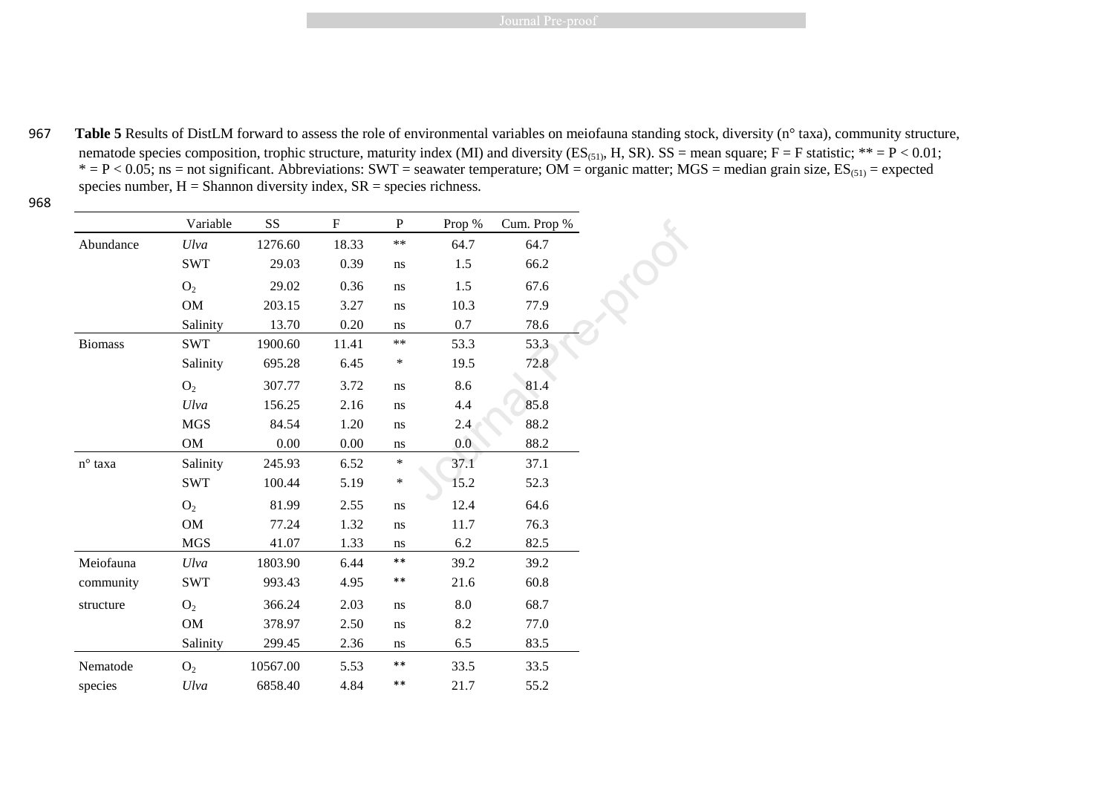967 **Table 5** Results of DistLM forward to assess the role of environmental variables on meiofauna standing stock, diversity (n° taxa), community structure, nematode species composition, trophic structure, maturity index (MI) and diversity ( $ES_{(51)}$ , H, SR). SS = mean square; F = F statistic; \*\* = P < 0.01;  $* = P < 0.05$ ; ns = not significant. Abbreviations: SWT = seawater temperature; OM = organic matter; MGS = median grain size,  $ES_{(51)}$  = expected species number,  $H =$  Shannon diversity index,  $SR =$  species richness.

|                  | Variable       | SS       | F        | P      | Prop %           | Cum. Prop % |
|------------------|----------------|----------|----------|--------|------------------|-------------|
| Abundance        | Ulva           | 1276.60  | 18.33    | **     | 64.7             | 64.7        |
|                  | <b>SWT</b>     | 29.03    | 0.39     | ns     | 1.5              | 66.2        |
|                  | O <sub>2</sub> | 29.02    | 0.36     | ns     | 1.5              | 67.6        |
|                  | OM             | 203.15   | 3.27     | ns     | 10.3             | 77.9        |
|                  | Salinity       | 13.70    | 0.20     | ns     | 0.7              | 78.6        |
| <b>Biomass</b>   | <b>SWT</b>     | 1900.60  | 11.41    | **     | 53.3             | 53.3        |
|                  | Salinity       | 695.28   | 6.45     | $\ast$ | 19.5             | 72.8        |
|                  | O <sub>2</sub> | 307.77   | 3.72     | ns     | 8.6              | 81.4        |
|                  | Ulva           | 156.25   | 2.16     | ns     | 4.4              | 85.8        |
|                  | <b>MGS</b>     | 84.54    | 1.20     | ns     | 2.4              | 88.2        |
|                  | OM             | 0.00     | $0.00\,$ | ns     | 0.0 <sub>1</sub> | 88.2        |
| $n^{\circ}$ taxa | Salinity       | 245.93   | 6.52     | $\ast$ | 37.1             | 37.1        |
|                  | <b>SWT</b>     | 100.44   | 5.19     | $\ast$ | 15.2             | 52.3        |
|                  | O <sub>2</sub> | 81.99    | 2.55     | ns     | 12.4             | 64.6        |
|                  | OM             | 77.24    | 1.32     | ns     | 11.7             | 76.3        |
|                  | <b>MGS</b>     | 41.07    | 1.33     | ns     | 6.2              | 82.5        |
| Meiofauna        | Ulva           | 1803.90  | 6.44     | $***$  | 39.2             | 39.2        |
| community        | <b>SWT</b>     | 993.43   | 4.95     | $***$  | 21.6             | 60.8        |
| structure        | O <sub>2</sub> | 366.24   | 2.03     | ns     | 8.0              | 68.7        |
|                  | OM             | 378.97   | 2.50     | ns     | 8.2              | 77.0        |
|                  | Salinity       | 299.45   | 2.36     | ns     | 6.5              | 83.5        |
| Nematode         | O <sub>2</sub> | 10567.00 | 5.53     | $***$  | 33.5             | 33.5        |
| species          | Ulva           | 6858.40  | 4.84     | $***$  | 21.7             | 55.2        |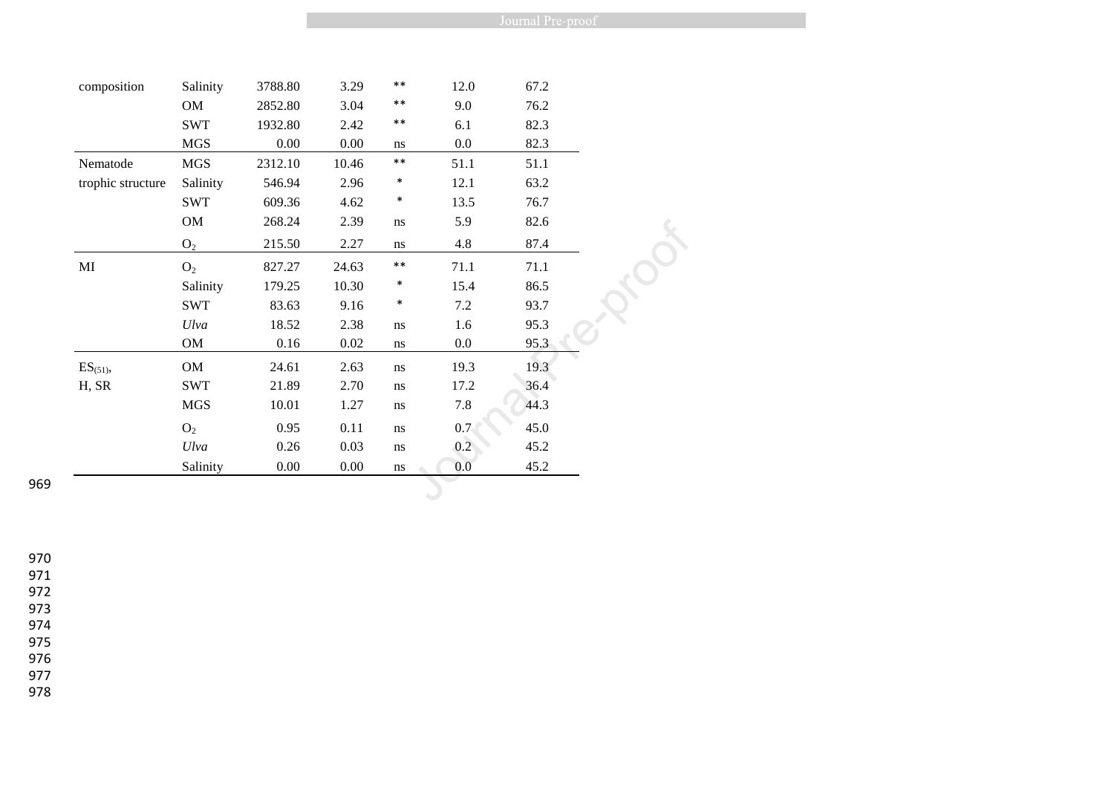Journal Pre-proof

| composition       | Salinity       | 3788.80 | 3.29     | $***$      | 12.0             | 67.2 |  |
|-------------------|----------------|---------|----------|------------|------------------|------|--|
|                   | OM             | 2852.80 | 3.04     | $\ast\ast$ | 9.0              | 76.2 |  |
|                   | <b>SWT</b>     | 1932.80 | 2.42     | $\ast\ast$ | 6.1              | 82.3 |  |
|                   | <b>MGS</b>     | 0.00    | 0.00     | ns         | 0.0              | 82.3 |  |
| Nematode          | MGS            | 2312.10 | 10.46    | $\ast\ast$ | 51.1             | 51.1 |  |
| trophic structure | Salinity       | 546.94  | 2.96     | $\ast$     | 12.1             | 63.2 |  |
|                   | <b>SWT</b>     | 609.36  | 4.62     | $\ast$     | 13.5             | 76.7 |  |
|                   | OM             | 268.24  | 2.39     | ns         | 5.9              | 82.6 |  |
|                   | O <sub>2</sub> | 215.50  | 2.27     | ns         | 4.8              | 87.4 |  |
| MI                | O <sub>2</sub> | 827.27  | 24.63    | $\ast\ast$ | 71.1             | 71.1 |  |
|                   | Salinity       | 179.25  | 10.30    | $\ast$     | 15.4             | 86.5 |  |
|                   | <b>SWT</b>     | 83.63   | 9.16     | $\ast$     | 7.2              | 93.7 |  |
|                   | Ulva           | 18.52   | 2.38     | ns         | 1.6              | 95.3 |  |
|                   | OM             | 0.16    | 0.02     | ns         | 0.0              | 95.3 |  |
| $ES_{(51)},$      | OM             | 24.61   | 2.63     | ns         | 19.3             | 19.3 |  |
| H, SR             | <b>SWT</b>     | 21.89   | 2.70     | ns         | 17.2             | 36.4 |  |
|                   | <b>MGS</b>     | 10.01   | 1.27     | ns         | 7.8              | 44.3 |  |
|                   | O <sub>2</sub> | 0.95    | 0.11     | ns         | 0.7 <sub>•</sub> | 45.0 |  |
|                   | Ulva           | 0.26    | 0.03     | ns         | 0.2              | 45.2 |  |
|                   | Salinity       | 0.00    | $0.00\,$ | $\rm ns$   | 0.0              | 45.2 |  |
|                   |                |         |          |            |                  |      |  |

969

970<br>971<br>972

973

974<br>974<br>975<br>976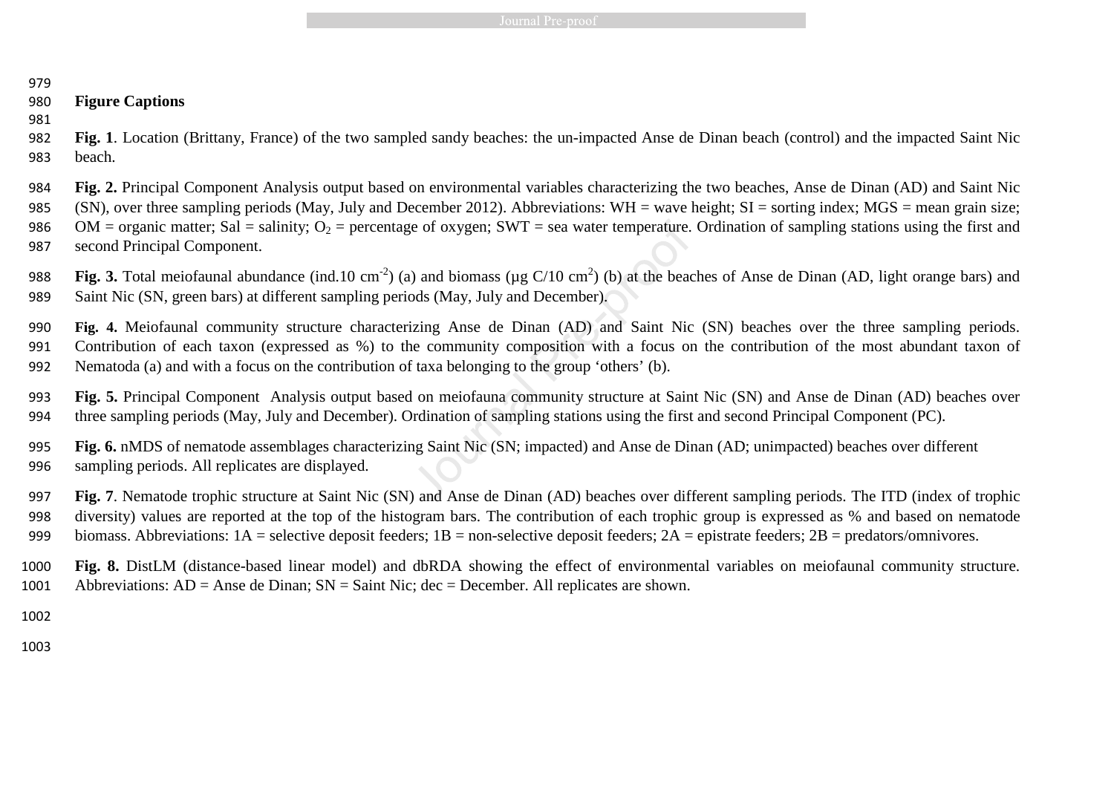- 
- **Figure Captions**
- 

**Fig. 1**. Location (Brittany, France) of the two sampled sandy beaches: the un-impacted Anse de Dinan beach (control) and the impacted Saint Nic beach.

**Fig. 2.** Principal Component Analysis output based on environmental variables characterizing the two beaches, Anse de Dinan (AD) and Saint Nic

(SN), over three sampling periods (May, July and December 2012). Abbreviations: WH = wave height; SI = sorting index; MGS = mean grain size;

- 986 OM = organic matter; Sal = salinity;  $O_2$  = percentage of oxygen; SWT = sea water temperature. Ordination of sampling stations using the first and
- second Principal Component.
- **Fig. 3.** Total meiofaunal abundance (ind.10 cm<sup>-2</sup>) (a) and biomass ( $\mu$ g C/10 cm<sup>2</sup>) (b) at the beaches of Anse de Dinan (AD, light orange bars) and Saint Nic (SN, green bars) at different sampling periods (May, July and December).

**Fig. 4.** Meiofaunal community structure characterizing Anse de Dinan (AD) and Saint Nic (SN) beaches over the three sampling periods. Contribution of each taxon (expressed as %) to the community composition with a focus on the contribution of the most abundant taxon of Nematoda (a) and with a focus on the contribution of taxa belonging to the group 'others' (b).

- **Fig. 5.** Principal Component Analysis output based on meiofauna community structure at Saint Nic (SN) and Anse de Dinan (AD) beaches over three sampling periods (May, July and December). Ordination of sampling stations using the first and second Principal Component (PC).
- **Fig. 6.** nMDS of nematode assemblages characterizing Saint Nic (SN; impacted) and Anse de Dinan (AD; unimpacted) beaches over different 996 sampling periods. All replicates are displayed.

**Fig. 7**. Nematode trophic structure at Saint Nic (SN) and Anse de Dinan (AD) beaches over different sampling periods. The ITD (index of trophic diversity) values are reported at the top of the histogram bars. The contribution of each trophic group is expressed as % and based on nematode 999 biomass. Abbreviations:  $1A$  = selective deposit feeders;  $1B$  = non-selective deposit feeders;  $2A$  = epistrate feeders;  $2B$  = predators/omnivores.

- **Fig. 8.** DistLM (distance-based linear model) and dbRDA showing the effect of environmental variables on meiofaunal community structure. Abbreviations: AD = Anse de Dinan; SN = Saint Nic; dec = December. All replicates are shown.
- 
-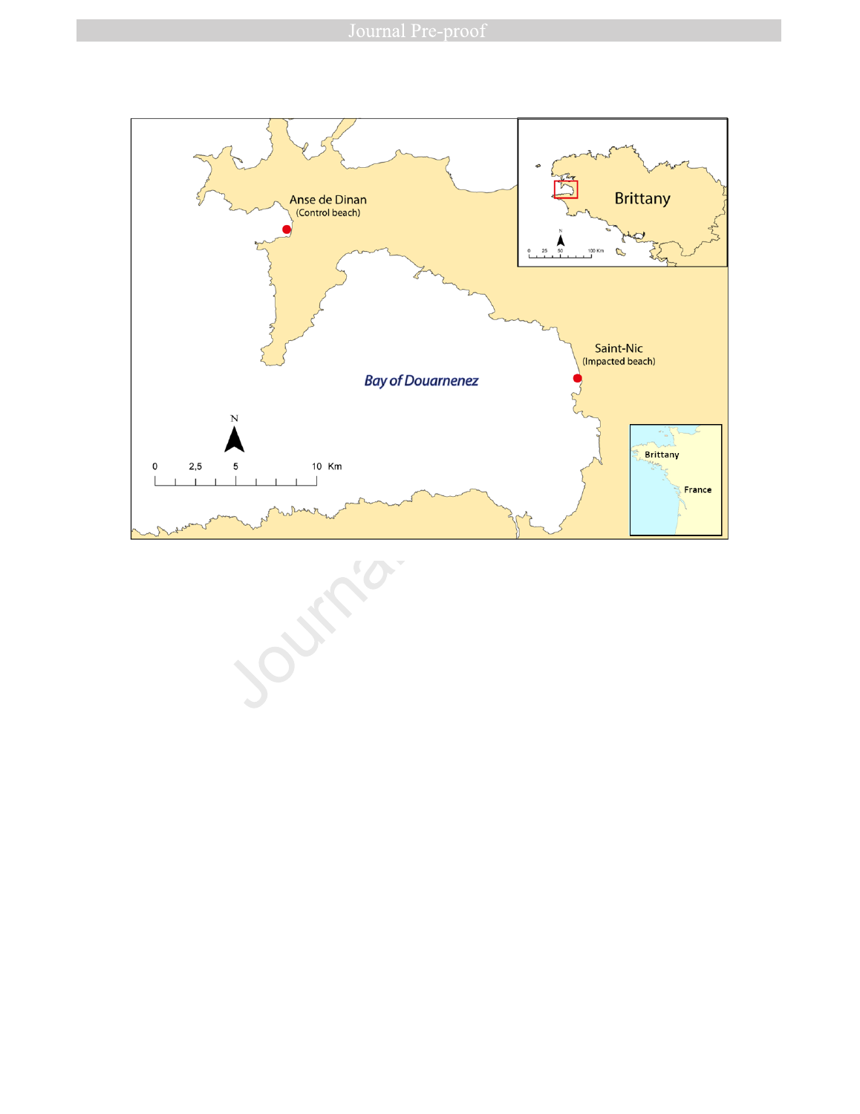

L. S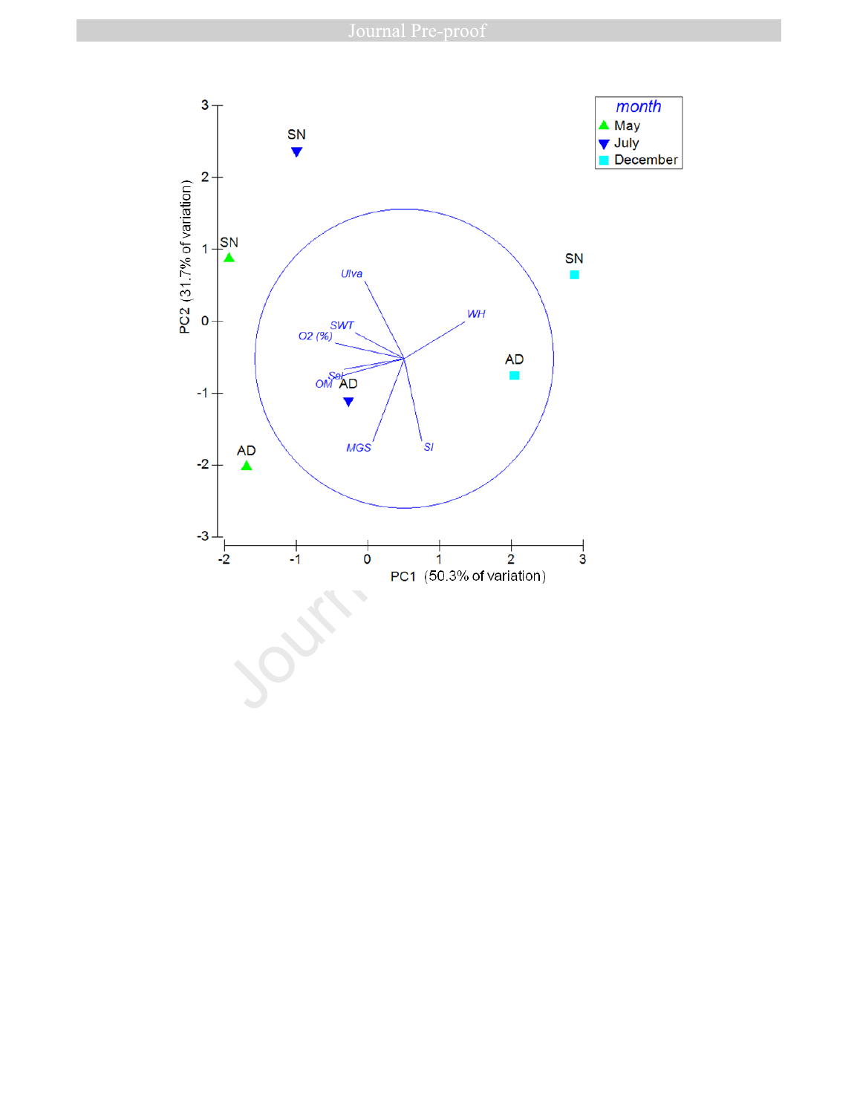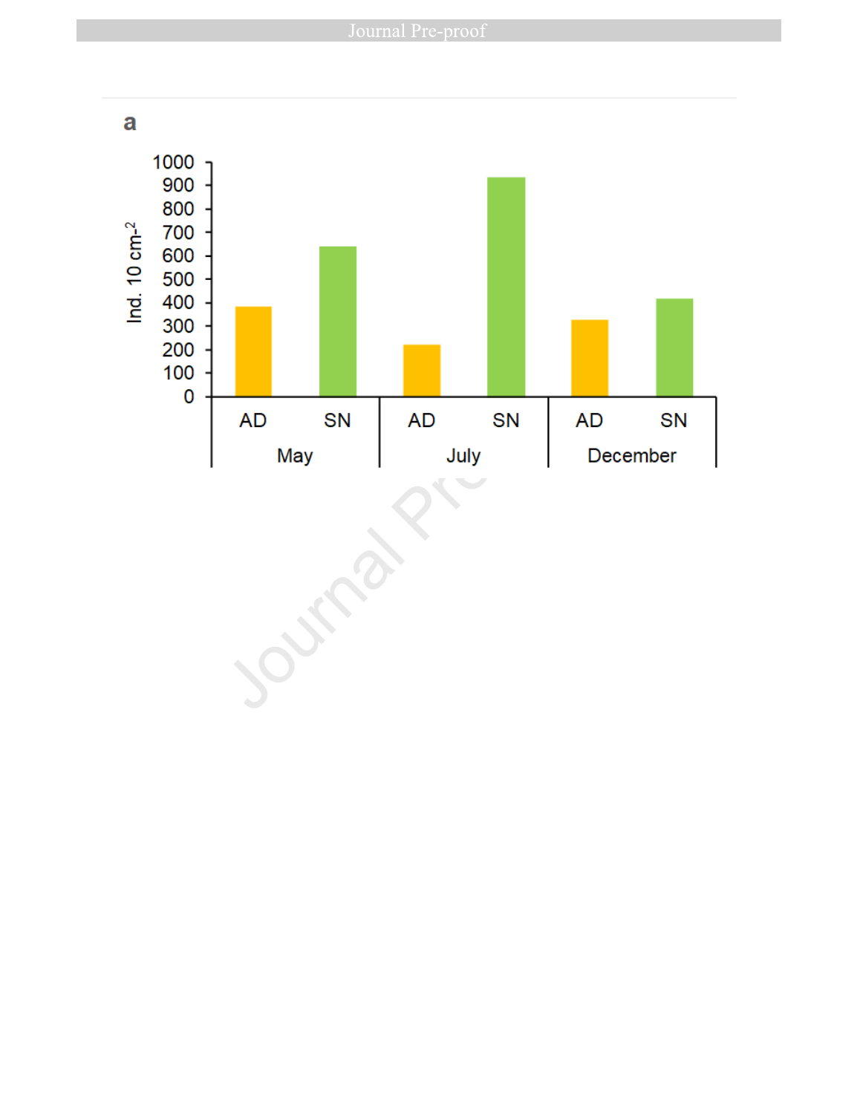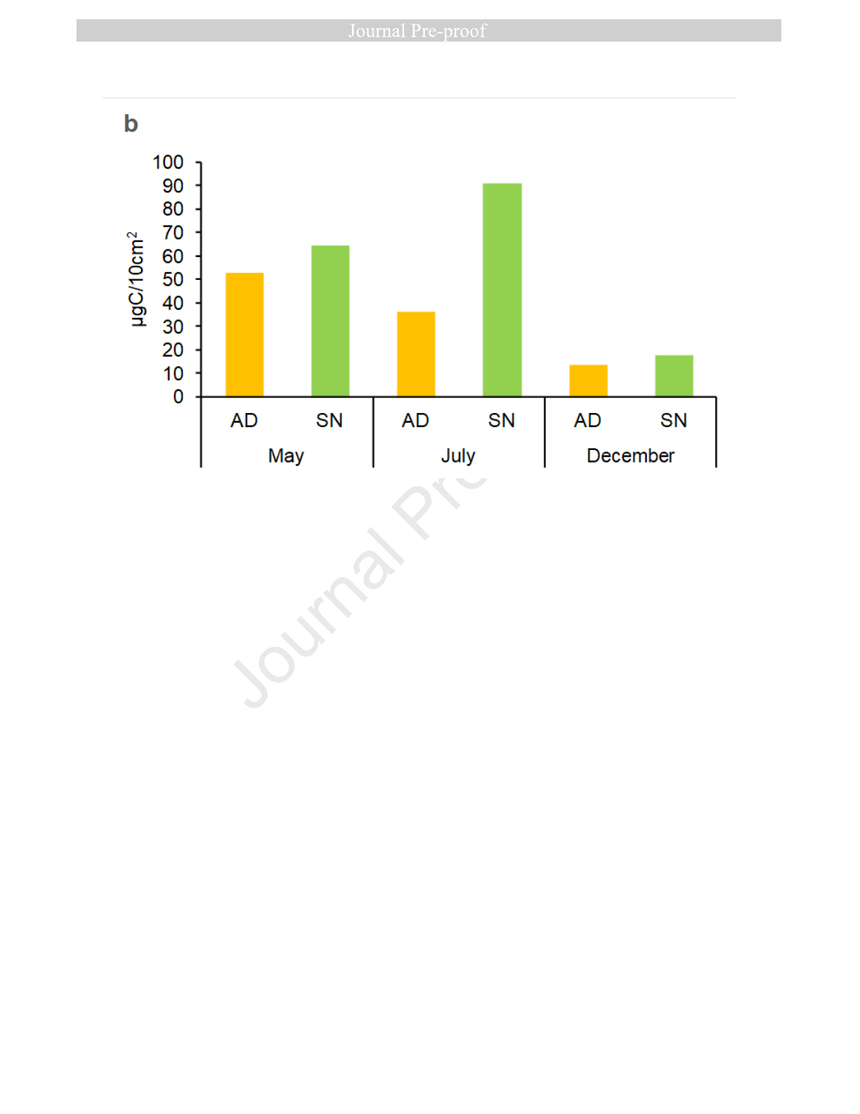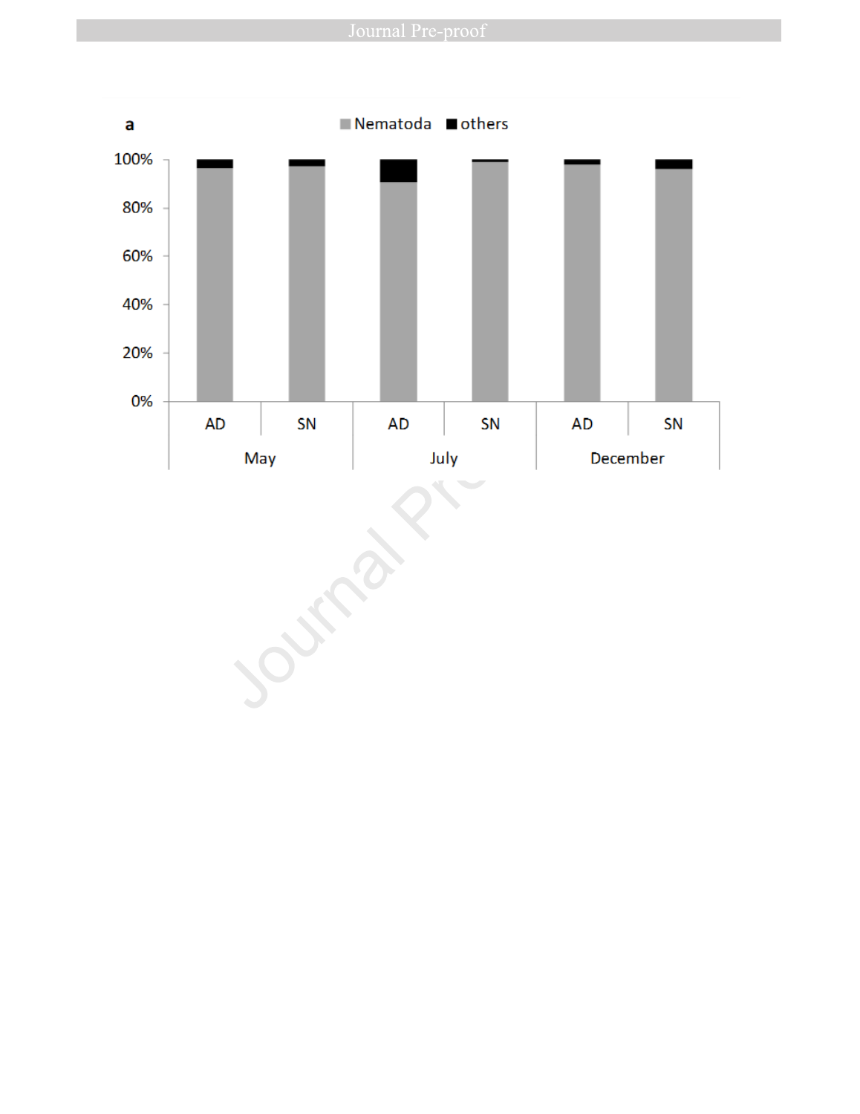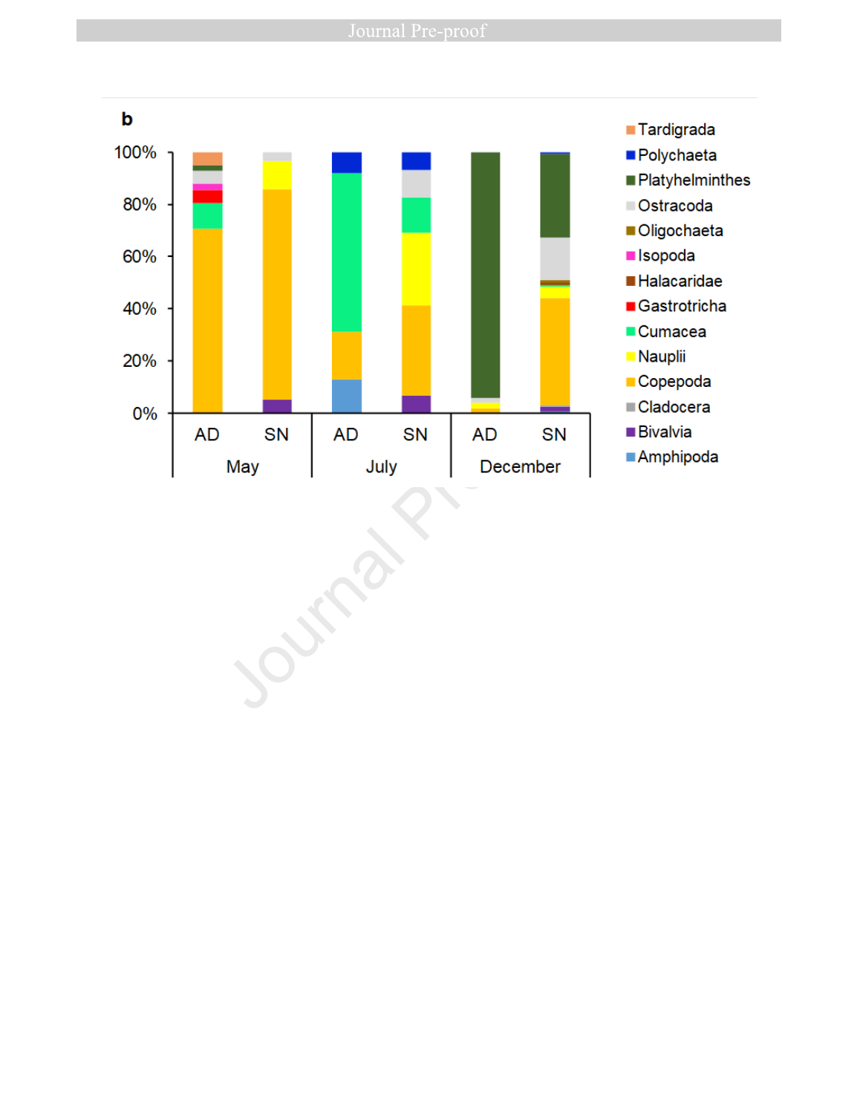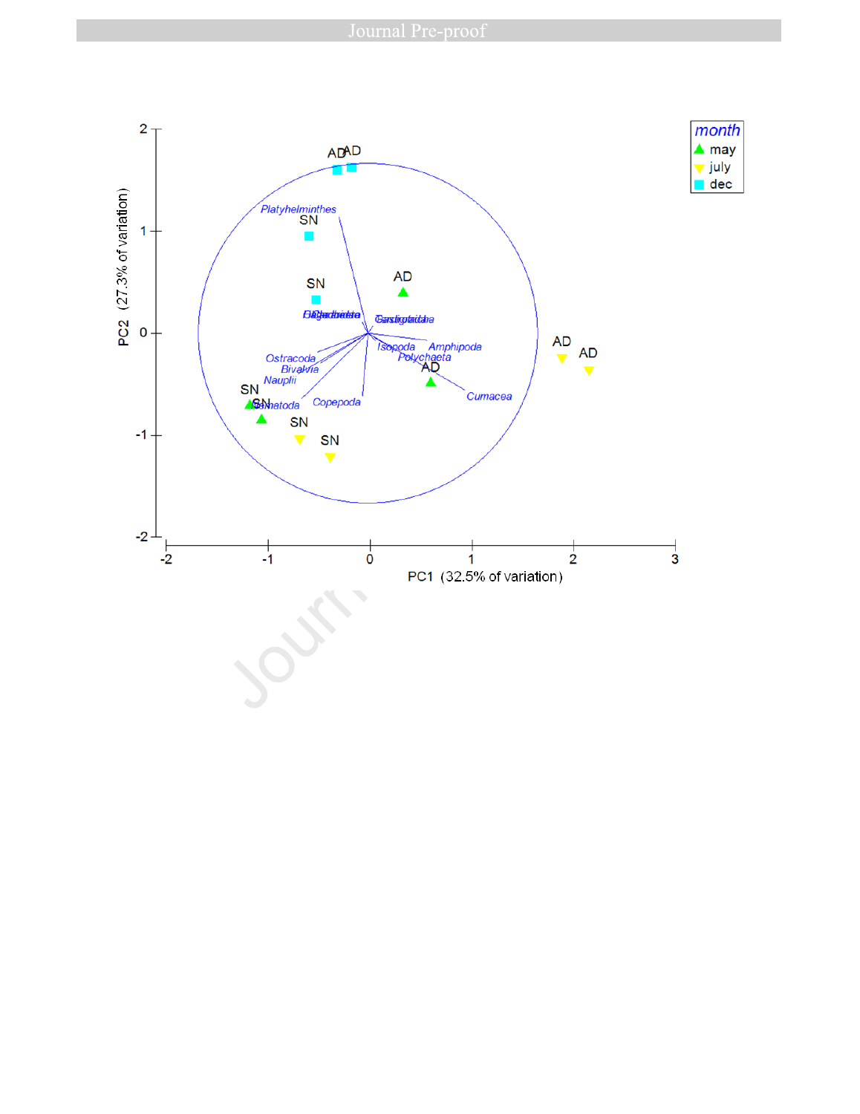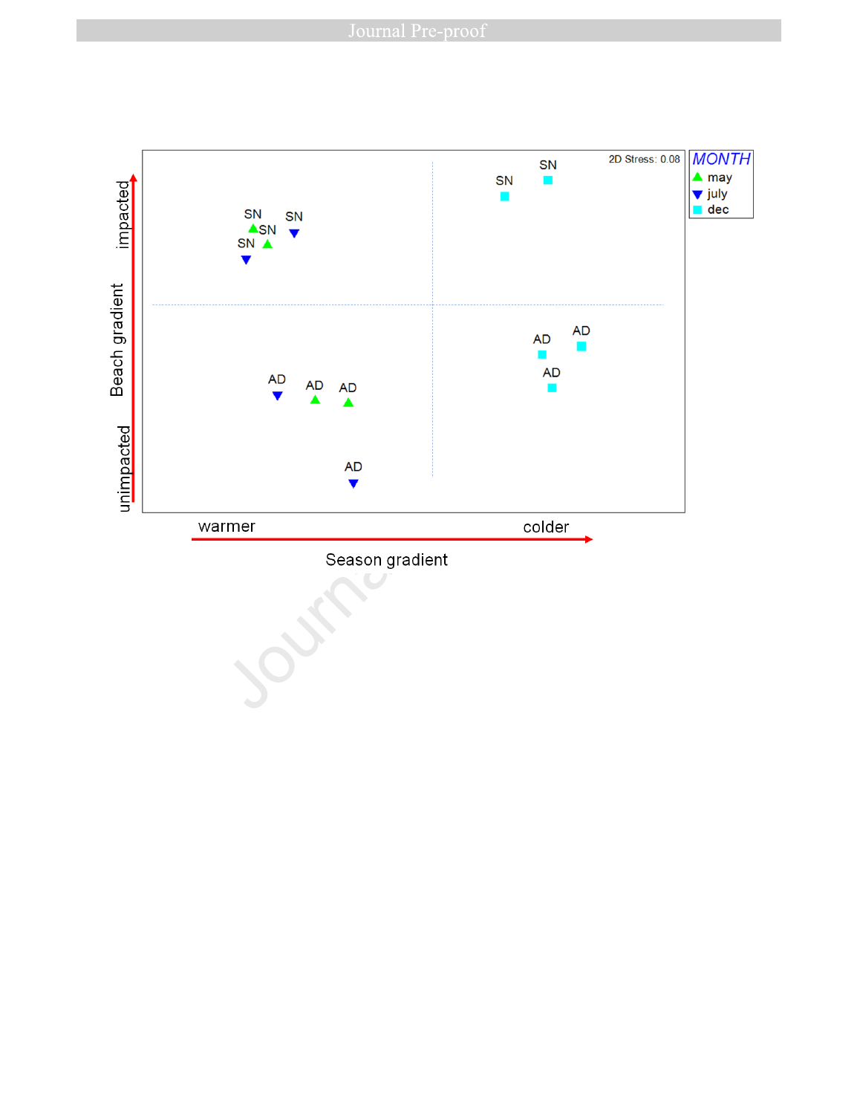

Season gradient

**POLY**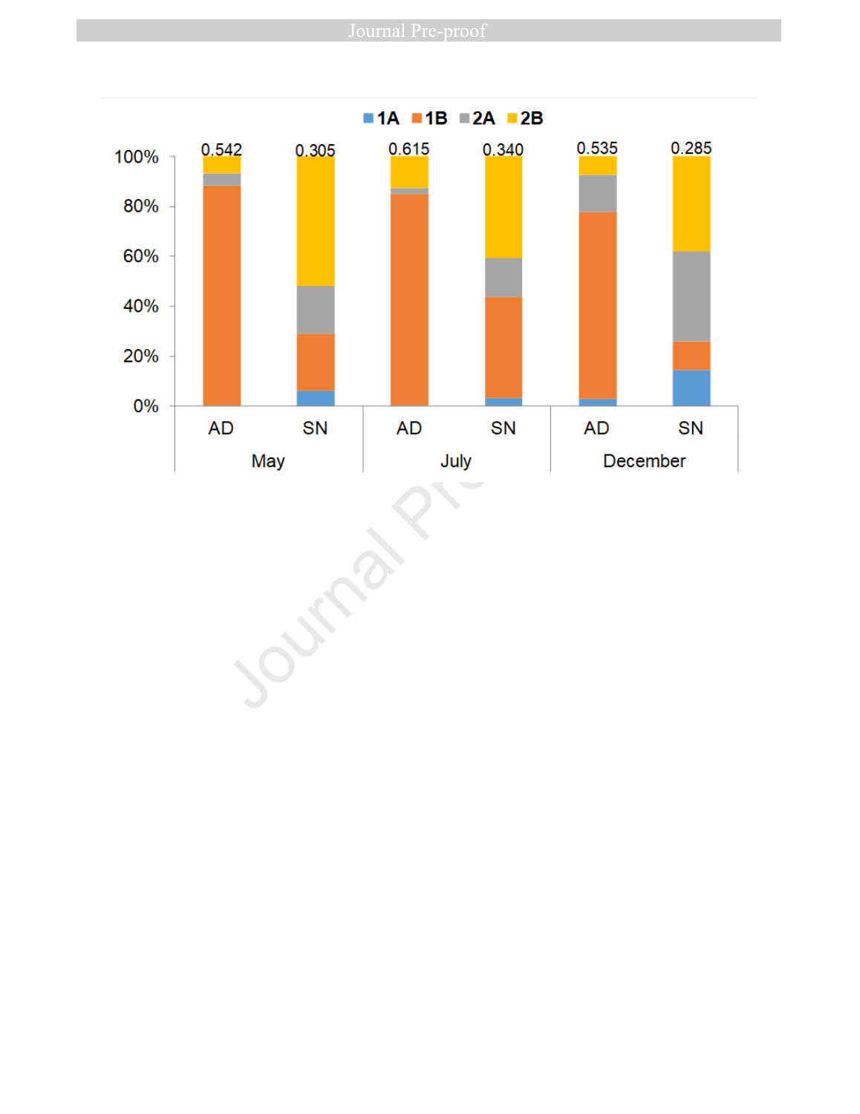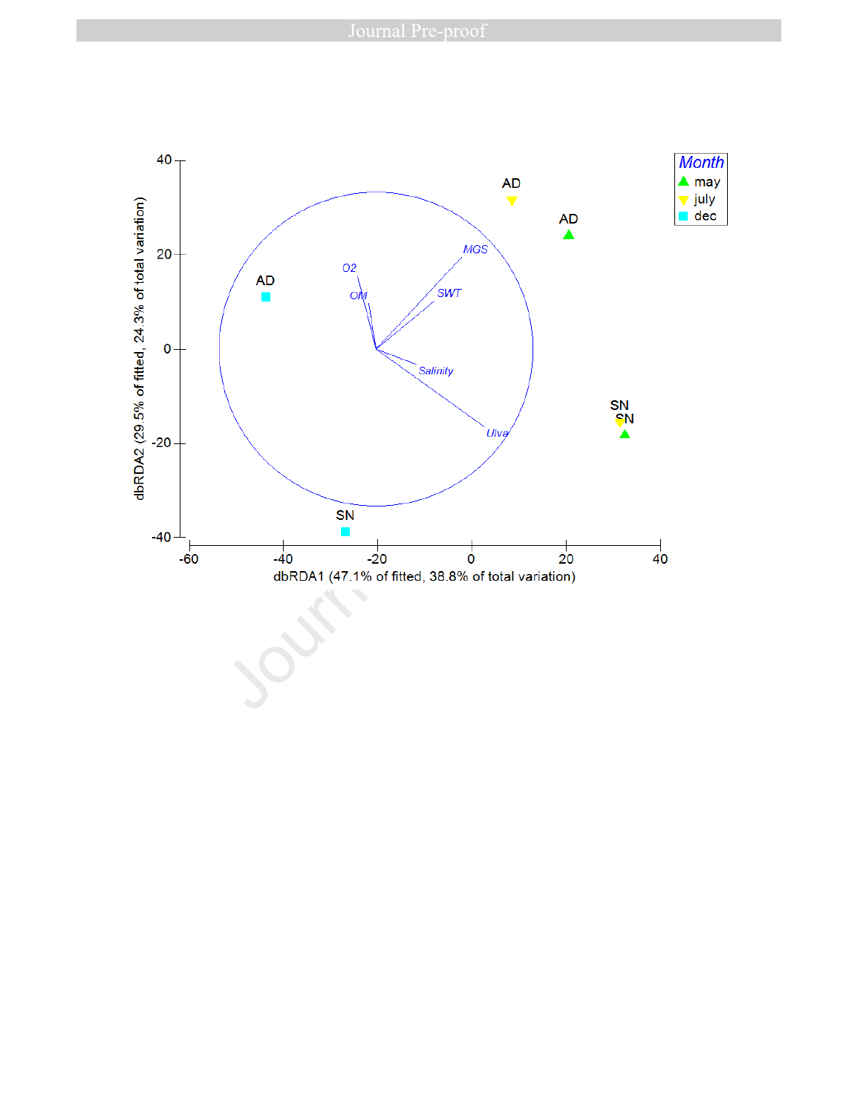